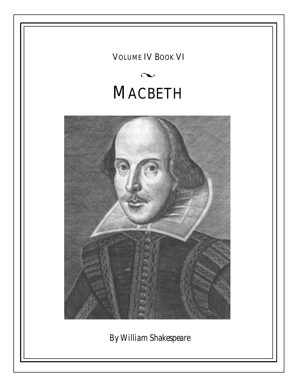VOLUME IV BOOK VI

# $\infty$ **MACBETH**



*By William Shakespeare*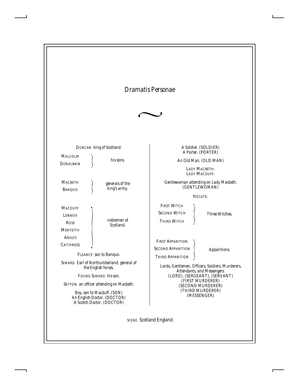## *Dramatis Personae*



|                                                                   | DUNCAN king of Scotland.                                                               |                                                                                | A Soldier. (SOLDIER)                                                            |
|-------------------------------------------------------------------|----------------------------------------------------------------------------------------|--------------------------------------------------------------------------------|---------------------------------------------------------------------------------|
| <b>MALCOLM</b><br><b>DONALBAIN</b>                                | his sons.                                                                              |                                                                                | A Porter. (PORTER)<br>An Old Man. (OLD MAN)                                     |
|                                                                   |                                                                                        |                                                                                | LADY MACBETH.<br>LADY MACDUFF.                                                  |
| <b>MACBETH</b><br><b>BANQUO</b>                                   | generals of the<br>king's army.                                                        |                                                                                | Gentlewoman attending on Lady Macbeth.<br>(GENTLEWOMAN)                         |
|                                                                   |                                                                                        |                                                                                | HECATE.                                                                         |
| <b>MACDUFF</b><br><b>LENNOX</b><br><b>ROSS</b><br><b>MENTEITH</b> | noblemen of<br>Scotland.                                                               | <b>FIRST WITCH</b><br><b>SECOND WITCH</b><br><b>THIRD WITCH</b>                | <b>Three Witches.</b>                                                           |
| <b>ANGUS</b><br><b>CAITHNESS</b>                                  | FLEANCE son to Banguo.                                                                 | <b>FIRST APPARITION</b><br><b>SECOND APPARITION</b><br><b>THIRD APPARITION</b> | Apparitions.                                                                    |
|                                                                   | SIWARD Earl of Northumberland, general of<br>the English forces.                       |                                                                                | Lords, Gentlemen, Officers, Soldiers, Murderers,<br>Attendants, and Messengers. |
|                                                                   | YOUNG SIWARD his son.                                                                  |                                                                                | (LORD), (SERGEANT), (SERVANT)                                                   |
|                                                                   | SEYTON an officer attending on Macbeth.                                                |                                                                                | (FIRST MURDERER)<br>(SECOND MURDERER)                                           |
|                                                                   | Boy, son to Macduff. (SON)<br>An English Doctor. (DOCTOR)<br>A Scotch Doctor. (DOCTOR) |                                                                                | (THIRD MURDERER)<br>(MESSENGER)                                                 |

SCENE *Scotland England.*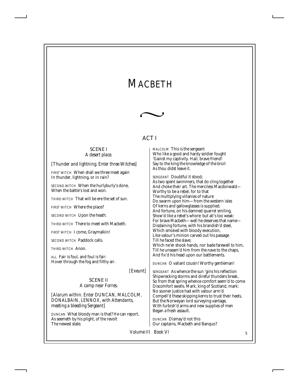## *MACBETH*



## ACT I

#### SCENE I *A desert place.*

*[Thunder and lightning. Enter three Witches]*

*FIRST WITCH* When shall we three meet again In thunder, lightning, or in rain?

*SECOND WITCH* When the hurlyburly's done, When the battle's lost and won.

*THIRD WITCH* That will be ere the set of sun.

*FIRST WITCH* Where the place?

*SECOND WITCH* Upon the heath.

*THIRD WITCH* There to meet with Macbeth.

*FIRST WITCH* I come, Graymalkin!

*SECOND WITCH* Paddock calls.

*THIRD WITCH* Anon.

*ALL* Fair is foul, and foul is fair: Hover through the fog and filthy air.

*[Exeunt]*

SCENE II *A camp near Forres.*

*[Alarum within. Enter DUNCAN, MALCOLM, DONALBAIN, LENNOX, with Attendants, meeting a bleeding Sergeant]*

*DUNCAN* What bloody man is that? He can report, As seemeth by his plight, of the revolt The newest state.

*MALCOLM* This is the sergeant Who like a good and hardy soldier fought 'Gainst my captivity. Hail, brave friend! Say to the king the knowledge of the broil As thou didst leave it.

*SERGEANT* Doubtful it stood; As two spent swimmers, that do cling together And choke their art. The merciless Macdonwald— Worthy to be a rebel, for to that The multiplying villanies of nature Do swarm upon him—from the western isles Of kerns and gallowglasses is supplied; And fortune, on his damned quarrel smiling, Show'd like a rebel's whore: but all's too weak: For brave Macbeth—well he deserves that name— Disdaining fortune, with his brandish'd steel, Which smoked with bloody execution, Like valour's minion carved out his passage Till he faced the slave; Which ne'er shook hands, nor bade farewell to him, Till he unseam'd him from the nave to the chaps, And fix'd his head upon our battlements.

*DUNCAN* O valiant cousin! Worthy gentleman!

*SERGEANT* As whence the sun 'gins his reflection Shipwrecking storms and direful thunders break, So from that spring whence comfort seem'd to come Discomfort swells. Mark, king of Scotland, mark: No sooner justice had with valour arm'd Compell'd these skipping kerns to trust their heels, But the Norweyan lord surveying vantage, With furbish'd arms and new supplies of men Began a fresh assault.

*DUNCAN* Dismay'd not this Our captains, Macbeth and Banquo?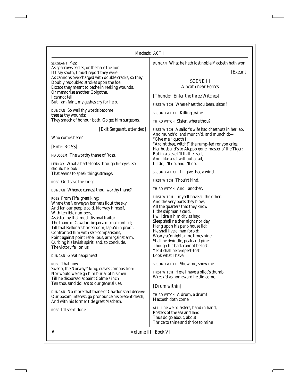#### *Macbeth: ACT I*

*SERGEANT* Yes; As sparrows eagles, or the hare the lion. If I say sooth, I must report they were As cannons overcharged with double cracks, so they Doubly redoubled strokes upon the foe: Except they meant to bathe in reeking wounds, Or memorise another Golgotha, I cannot tell. But I am faint, my gashes cry for help.

*DUNCAN* So well thy words become thee as thy wounds; They smack of honour both. Go get him surgeons.

*[Exit Sergeant, attended]*

Who comes here?

*[Enter ROSS]*

*MALCOLM* The worthy thane of Ross.

*LENNOX* What a haste looks through his eyes! So should he look That seems to speak things strange.

*ROSS* God save the king!

*DUNCAN* Whence camest thou, worthy thane?

*ROSS* From Fife, great king; Where the Norweyan banners flout the sky And fan our people cold. Norway himself, With terrible numbers, Assisted by that most disloyal traitor The thane of Cawdor, began a dismal conflict; Till that Bellona's bridegroom, lapp'd in proof, Confronted him with self-comparisons, Point against point rebellious, arm 'gainst arm. Curbing his lavish spirit: and, to conclude, The victory fell on us.

*DUNCAN* Great happiness!

*ROSS* That now Sweno, the Norways' king, craves composition: Nor would we deign him burial of his men Till he disbursed at Saint Colme's inch Ten thousand dollars to our general use.

*DUNCAN* No more that thane of Cawdor shall deceive Our bosom interest: go pronounce his present death, And with his former title greet Macbeth.

*ROSS* I'll see it done.

*DUNCAN* What he hath lost noble Macbeth hath won.

*[Exeunt]*

#### SCENE III *A heath near Forres.*

*[Thunder. Enter the three Witches]*

*FIRST WITCH* Where hast thou been, sister?

*SECOND WITCH* Killing swine.

*THIRD WITCH* Sister, where thou?

*FIRST WITCH* A sailor's wife had chestnuts in her lap, And munch'd, and munch'd, and munch'd:— "Give me," quoth I: "Aroint thee, witch!" the rump-fed ronyon cries. Her husband's to Aleppo gone, master o' the Tiger: But in a sieve I'll thither sail, And, like a rat without a tail, I'll do, I'll do, and I'll do.

*SECOND WITCH* I'll give thee a wind.

*FIRST WITCH* Thou'rt kind.

*THIRD WITCH* And I another.

*FIRST WITCH* I myself have all the other, And the very ports they blow, All the quarters that they know I' the shipman's card. I will drain him dry as hay: Sleep shall neither night nor day Hang upon his pent-house lid; He shall live a man forbid: Weary se'nnights nine times nine Shall he dwindle, peak and pine: Though his bark cannot be lost, Yet it shall be tempest-tost. Look what I have.

*SECOND WITCH* Show me, show me.

*FIRST WITCH* Here I have a pilot's thumb, Wreck'd as homeward he did come.

*[Drum within]*

*THIRD WITCH* A drum, a drum! Macbeth doth come.

*ALL* The weird sisters, hand in hand, Posters of the sea and land, Thus do go about, about: Thrice to thine and thrice to mine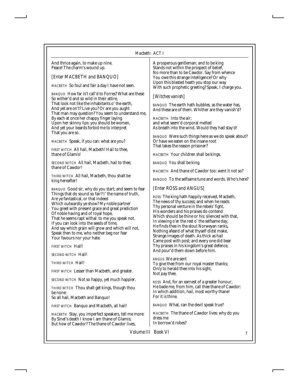#### *Macbeth: ACT I*

And thrice again, to make up nine. Peace! The charm's wound up.

#### *[Enter MACBETH and BANQUO]*

*MACBETH* So foul and fair a day I have not seen.

*BANQUO* How far is't call'd to Forres? What are these So wither'd and so wild in their attire, That look not like the inhabitants o' the earth, And yet are on't? Live you? Or are you aught That man may question? You seem to understand me, By each at once her chappy finger laying Upon her skinny lips: you should be women, And yet your beards forbid me to interpret That you are so.

*MACBETH* Speak, if you can: what are you?

*FIRST WITCH* All hail, Macbeth! Hail to thee, thane of Glamis!

*SECOND WITCH* All hail, Macbeth, hail to thee, thane of Cawdor!

*THIRD WITCH* All hail, Macbeth, thou shalt be king hereafter!

*BANQUO* Good sir, why do you start; and seem to fear Things that do sound so fair? I' the name of truth, Are ye fantastical, or that indeed Which outwardly ye show? My noble partner You greet with present grace and great prediction Of noble having and of royal hope, That he seems rapt withal: to me you speak not. If you can look into the seeds of time, And say which grain will grow and which will not, Speak then to me, who neither beg nor fear Your favours nor your hate.

*FIRST WITCH* Hail!

*SECOND WITCH* Hail!

*THIRD WITCH* Hail!

*FIRST WITCH* Lesser than Macbeth, and greater.

*SECOND WITCH* Not so happy, yet much happier.

*THIRD WITCH* Thou shalt get kings, though thou be none: So all hail, Macbeth and Banquo!

*FIRST WITCH* Banquo and Macbeth, all hail!

*MACBETH* Stay, you imperfect speakers, tell me more: By Sinel's death I know I am thane of Glamis; But how of Cawdor? The thane of Cawdor lives,

A prosperous gentleman; and to be king Stands not within the prospect of belief, No more than to be Cawdor. Say from whence You owe this strange intelligence? Or why Upon this blasted heath you stop our way With such prophetic greeting? Speak, I charge you.

#### *[Witches vanish]*

*BANQUO* The earth hath bubbles, as the water has, And these are of them. Whither are they vanish'd?

*MACBETH* Into the air; and what seem'd corporal melted As breath into the wind. Would they had stay'd!

*BANQUO* Were such things here as we do speak about? Or have we eaten on the insane root That takes the reason prisoner?

*MACBETH* Your children shall be kings.

*BANQUO* You shall be king.

*MACBETH* And thane of Cawdor too: went it not so?

*BANQUO* To the selfsame tune and words. Who's here?

#### *[Enter ROSS and ANGUS]*

*ROSS* The king hath happily received, Macbeth, The news of thy success; and when he reads Thy personal venture in the rebels' fight, His wonders and his praises do contend Which should be thine or his: silenced with that, In viewing o'er the rest o' the selfsame day, He finds thee in the stout Norweyan ranks, Nothing afeard of what thyself didst make, Strange images of death. As thick as hail Came post with post; and every one did bear Thy praises in his kingdom's great defence, And pour'd them down before him.

*ANGUS* We are sent To give thee from our royal master thanks; Only to herald thee into his sight, Not pay thee.

*ROSS* And, for an earnest of a greater honour, He bade me, from him, call thee thane of Cawdor: In which addition, hail, most worthy thane! For it is thine.

*BANQUO* What, can the devil speak true?

*MACBETH* The thane of Cawdor lives: why do you dress me In borrow'd robes?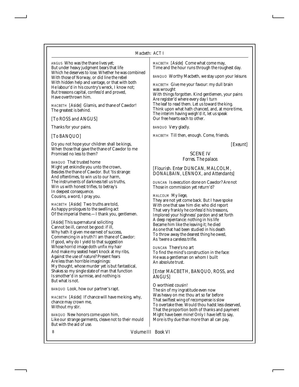*ANGUS* Who was the thane lives yet; But under heavy judgment bears that life Which he deserves to lose. Whether he was combined With those of Norway, or did line the rebel With hidden help and vantage, or that with both He labour'd in his country's wreck, I know not; But treasons capital, confess'd and proved, Have overthrown him.

*MACBETH [Aside]* Glamis, and thane of Cawdor! The greatest is behind.

### *[To ROSS and ANGUS]*

Thanks for your pains.

### *[To BANQUO]*

Do you not hope your children shall be kings, When those that gave the thane of Cawdor to me Promised no less to them?

*BANQUO* That trusted home Might yet enkindle you unto the crown, Besides the thane of Cawdor. But 'tis strange: And oftentimes, to win us to our harm, The instruments of darkness tell us truths, Win us with honest trifles, to betray's In deepest consequence. Cousins, a word, I pray you.

*MACBETH* [*Aside]* Two truths are told, As happy prologues to the swelling act Of the imperial theme.—I thank you, gentlemen.

*[Aside]* This supernatural soliciting Cannot be ill, cannot be good: if ill, Why hath it given me earnest of success, Commencing in a truth? I am thane of Cawdor: If good, why do I yield to that suggestion Whose horrid image doth unfix my hair And make my seated heart knock at my ribs, Against the use of nature? Present fears Are less than horrible imaginings: My thought, whose murder yet is but fantastical, Shakes so my single state of man that function Is smother'd in surmise, and nothing is But what is not.

*BANQUO* Look, how our partner's rapt.

*MACBETH [Aside]* If chance will have me king, why, chance may crown me, Without my stir.

*BANQUO* New honors come upon him, Like our strange garments, cleave not to their mould But with the aid of use.

*MACBETH [Aside]* Come what come may, Time and the hour runs through the roughest day.

*BANQUO* Worthy Macbeth, we stay upon your leisure.

*MACBETH* Give me your favour: my dull brain was wrought With things forgotten. Kind gentlemen, your pains Are register'd where every day I turn The leaf to read them. Let us toward the king. Think upon what hath chanced, and, at more time, The interim having weigh'd it, let us speak Our free hearts each to other.

*BANQUO* Very gladly.

*MACBETH* Till then, enough. Come, friends.

*[Exeunt]*

#### SCENE IV *Forres. The palace.*

### *[Flourish. Enter DUNCAN, MALCOLM, DONALBAIN, LENNOX, and Attendants]*

*DUNCAN* Is execution done on Cawdor? Are not Those in commission yet return'd?

*MALCOLM* My liege,

They are not yet come back. But I have spoke With one that saw him die: who did report That very frankly he confess'd his treasons, Implored your highness' pardon and set forth A deep repentance: nothing in his life Became him like the leaving it; he died As one that had been studied in his death To throw away the dearest thing he owed, As 'twere a careless trifle.

*DUNCAN* There's no art To find the mind's construction in the face: He was a gentleman on whom I built An absolute trust.

## *[Enter MACBETH, BANQUO, ROSS, and ANGUS]*

O worthiest cousin! The sin of my ingratitude even now Was heavy on me: thou art so far before That swiftest wing of recompense is slow To overtake thee. Would thou hadst less deserved, That the proportion both of thanks and payment Might have been mine! Only I have left to say, More is thy due than more than all can pay.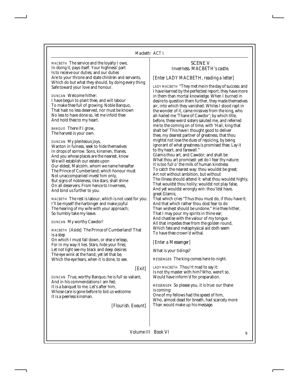*MACBETH* The service and the loyalty I owe, In doing it, pays itself. Your highness' part Is to receive our duties; and our duties Are to your throne and state children and servants, Which do but what they should, by doing every thing Safe toward your love and honour.

*DUNCAN* Welcome hither: I have begun to plant thee, and will labour To make thee full of growing. Noble Banquo, That hast no less deserved, nor must be known No less to have done so, let me infold thee And hold thee to my heart.

*BANQUO* There if I grow, The harvest is your own.

*DUNCAN* My plenteous joys, Wanton in fulness, seek to hide themselves In drops of sorrow. Sons, kinsmen, thanes, And you whose places are the nearest, know We will establish our estate upon Our eldest, Malcolm, whom we name hereafter The Prince of Cumberland; which honour must Not unaccompanied invest him only, But signs of nobleness, like stars, shall shine On all deservers. From hence to Inverness, And bind us further to you.

*MACBETH* The rest is labour, which is not used for you: I'll be myself the harbinger and make joyful The hearing of my wife with your approach; So humbly take my leave.

*DUNCAN* My worthy Cawdor!

*MACBETH [Aside]* The Prince of Cumberland! That is a step

On which I must fall down, or else o'erleap, For in my way it lies. Stars, hide your fires; Let not light see my black and deep desires: The eye wink at the hand; yet let that be, Which the eye fears, when it is done, to see.

#### *[Exit]*

*DUNCAN* True, worthy Banquo; he is full so valiant, And in his commendations I am fed; It is a banquet to me. Let's after him, Whose care is gone before to bid us welcome: It is a peerless kinsman.

*[Flourish. Exeunt]*

#### SCENE V *Inverness. MACBETH's castle.*

## *[Enter LADY MACBETH, reading a letter]*

*LADY MACBETH* "They met me in the day of success: and I have learned by the perfectest report, they have more in them than mortal knowledge. When I burned in desire to question them further, they made themselves air, into which they vanished. Whiles I stood rapt in the wonder of it, came missives from the king, who all-hailed me 'Thane of Cawdor'; by which title, before, these weird sisters saluted me, and referred me to the coming on of time, with 'Hail, king that shalt be!' This have I thought good to deliver thee, my dearest partner of greatness, that thou mightst not lose the dues of rejoicing, by being ignorant of what greatness is promised thee. Lay it to thy heart, and farewell."

Glamis thou art, and Cawdor; and shalt be What thou art promised: yet do I fear thy nature; It is too full o' the milk of human kindness To catch the nearest way: thou wouldst be great; Art not without ambition, but without The illness should attend it: what thou wouldst highly, That wouldst thou holily; wouldst not play false, And yet wouldst wrongly win: thou'ldst have, great Glamis,

That which cries "Thus thou must do, if thou have it; And that which rather thou dost fear to do Than wishest should be undone." Hie thee hither, That I may pour my spirits in thine ear; And chastise with the valour of my tongue All that impedes thee from the golden round, Which fate and metaphysical aid doth seem To have thee crown'd withal.

#### *[Enter a Messenger]*

What is your tidings?

*MESSENGER* The king comes here to-night.

*LADY MACBETH* Thou'rt mad to say it: Is not thy master with him? Who, were't so, Would have inform'd for preparation.

*MESSENGER* So please you, it is true: our thane is coming:

One of my fellows had the speed of him, Who, almost dead for breath, had scarcely more Than would make up his message.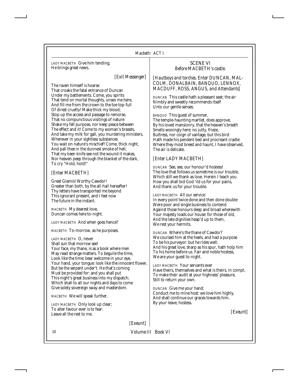*LADY MACBETH* Give him tending; He brings great news.

*[Exit Messenger]*

The raven himself is hoarse That croaks the fatal entrance of Duncan Under my battlements. Come, you spirits That tend on mortal thoughts, unsex me here, And fill me from the crown to the toe top-full Of direst cruelty! Make thick my blood; Stop up the access and passage to remorse, That no compunctious visitings of nature Shake my fell purpose, nor keep peace between The effect and it! Come to my woman's breasts, And take my milk for gall, you murdering ministers, Wherever in your sightless substances You wait on nature's mischief! Come, thick night, And pall thee in the dunnest smoke of hell, That my keen knife see not the wound it makes, Nor heaven peep through the blanket of the dark, To cry "Hold, hold!"

## *[Enter MACBETH]*

Great Glamis! Worthy Cawdor! Greater than both, by the all-hail hereafter! Thy letters have transported me beyond This ignorant present, and I feel now The future in the instant.

*MACBETH* My dearest love, Duncan comes here to-night.

*LADY MACBETH* And when goes hence?

*MACBETH* To-morrow, as he purposes.

*LADY MACBETH* O, never Shall sun that morrow see! Your face, my thane, is as a book where men May read strange matters. To beguile the time, Look like the time; bear welcome in your eye, Your hand, your tongue: look like the innocent flower, But be the serpent under't. He that's coming Must be provided for: and you shall put This night's great business into my dispatch; Which shall to all our nights and days to come Give solely sovereign sway and masterdom.

*MACBETH* We will speak further.

*LADY MACBETH* Only look up clear; To alter favour ever is to fear: Leave all the rest to me.

#### SCENE VI *Before MACBETH's castle.*

*[Hautboys and torches. Enter DUNCAN, MAL-COLM, DONALBAIN, BANQUO, LENNOX, MACDUFF, ROSS, ANGUS, and Attendants]*

*DUNCAN* This castle hath a pleasant seat; the air Nimbly and sweetly recommends itself Unto our gentle senses.

*BANQUO* This guest of summer, The temple-haunting martlet, does approve, By his loved mansionry, that the heaven's breath Smells wooingly here: no jutty, frieze, Buttress, nor coign of vantage, but this bird Hath made his pendent bed and procreant cradle: Where they most breed and haunt, I have observed, The air is delicate.

## *[Enter LADY MACBETH]*

*DUNCAN* See, see, our honour'd hostess! The love that follows us sometime is our trouble, Which still we thank as love. Herein I teach you How you shall bid God 'ild us for your pains, And thank us for your trouble.

*LADY MACBETH* All our service In every point twice done and then done double Were poor and single business to contend Against those honours deep and broad wherewith Your majesty loads our house: for those of old, And the late dignities heap'd up to them, We rest your hermits.

*DUNCAN* Where's the thane of Cawdor? We coursed him at the heels, and had a purpose To be his purveyor: but he rides well; And his great love, sharp as his spur, hath holp him To his home before us. Fair and noble hostess, We are your guest to-night.

*LADY MACBETH* Your servants ever Have theirs, themselves and what is theirs, in compt, To make their audit at your highness' pleasure, Still to return your own.

*DUNCAN* Give me your hand; Conduct me to mine host: we love him highly, And shall continue our graces towards him. By your leave, hostess.

*[Exeunt]*

*[Exeunt]*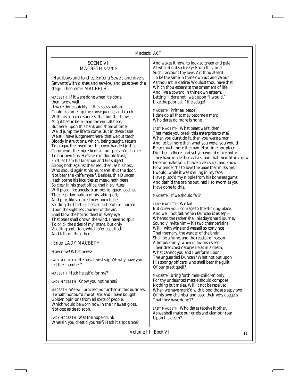## SCENE VII *MACBETH's castle.*

*[Hautboys and torches. Enter a Sewer, and divers Servants with dishes and service, and pass over the stage. Then enter MACBETH]*

*MACBETH* If it were done when 'tis done, then 'twere well

It were done quickly: if the assassination Could trammel up the consequence, and catch With his surcease success; that but this blow Might be the be-all and the end-all here, But here, upon this bank and shoal of time, We'ld jump the life to come. But in these cases We still have judgement here; that we but teach Bloody instructions, which, being taught, return To plague the inventor: this even-handed justice Commends the ingredients of our poison'd chalice To our own lips. He's here in double trust; First, as I am his kinsman and his subject, Strong both against the deed; then, as his host, Who should against his murderer shut the door, Not bear the knife myself. Besides, this Duncan Hath borne his faculties so meek, hath been So clear in his great office, that his virtues Will plead like angels, trumpet-tongued, against The deep damnation of his taking-off; And pity, like a naked new-born babe, Striding the blast, or heaven's cherubim, horsed Upon the sightless couriers of the air, Shall blow the horrid deed in every eye, That tears shall drown the wind. I have no spur To prick the sides of my intent, but only Vaulting ambition, which o'erleaps itself And falls on the other.

#### *[Enter LADY MACBETH]*

How now! What news?

*LADY MACBETH* He has almost supp'd: why have you left the chamber?

*MACBETH* Hath he ask'd for me?

*LADY MACBETH* Know you not he has?

*MACBETH* We will proceed no further in this business: He hath honour'd me of late; and I have bought Golden opinions from all sorts of people, Which would be worn now in their newest gloss, Not cast aside so soon.

*LADY MACBETH* Was the hope drunk Wherein you dress'd yourself? Hath it slept since? And wakes it now, to look so green and pale At what it did so freely? From this time Such I account thy love. Art thou afeard To be the same in thine own act and valour As thou art in desire? Wouldst thou have that Which thou esteem'st the ornament of life, And live a coward in thine own esteem, Letting "I dare not" wait upon "I would," Like the poor cat i' the adage?

*MACBETH* Prithee, peace: I dare do all that may become a man; Who dares do more is none.

*LADY MACBETH* What beast was't, then, That made you break this enterprise to me? When you durst do it, then you were a man; And, to be more than what you were, you would Be so much more the man. Nor time nor place Did then adhere, and yet you would make both: They have made themselves, and that their fitness now Does unmake you. I have given suck, and know How tender 'tis to love the babe that milks me: I would, while it was smiling in my face, Have pluck'd my nipple from his boneless gums, And dash'd the brains out, had I so sworn as you Have done to this.

*MACBETH* If we should fail?

#### *LADY MACBETH* We fail!

But screw your courage to the sticking-place, And we'll not fail. When Duncan is asleep— Whereto the rather shall his day's hard journey Soundly invite him—his two chamberlains Will I with wine and wassail so convince That memory, the warder of the brain, Shall be a fume, and the receipt of reason A limbeck only: when in swinish sleep Their drenched natures lie as in a death, What cannot you and I perform upon The unguarded Duncan? What not put upon His spongy officers, who shall bear the guilt Of our great quell?

*MACBETH* Bring forth men-children only; For thy undaunted mettle should compose Nothing but males. Will it not be received, When we have mark'd with blood those sleepy two Of his own chamber and used their very daggers, That they have done't?

*LADY MACBETH* Who dares receive it other, As we shall make our griefs and clamour roar Upon his death?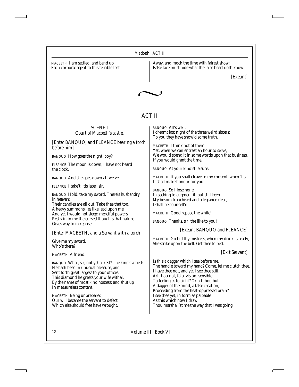*MACBETH* I am settled, and bend up Each corporal agent to this terrible feat. Away, and mock the time with fairest show: False face must hide what the false heart doth know.

*[Exeunt]*



## ACT II

#### SCENE I *Court of Macbeth's castle.*

*[Enter BANQUO, and FLEANCE bearing a torch before him]*

*BANQUO* How goes the night, boy?

*FLEANCE* The moon is down; I have not heard the clock.

*BANQUO* And she goes down at twelve.

*FLEANCE* I take't, 'tis later, sir.

*BANQUO* Hold, take my sword. There's husbandry in heaven;

Their candles are all out. Take thee that too. A heavy summons lies like lead upon me, And yet I would not sleep: merciful powers, Restrain in me the cursed thoughts that nature Gives way to in repose!

*[Enter MACBETH, and a Servant with a torch]*

Give me my sword. Who's there?

*MACBETH* A friend.

*BANQUO* What, sir, not yet at rest? The king's a-bed: He hath been in unusual pleasure, and Sent forth great largess to your offices. This diamond he greets your wife withal, By the name of most kind hostess; and shut up In measureless content.

*MACBETH* Being unprepared, Our will became the servant to defect; Which else should free have wrought.

*BANQUO* All's well. I dreamt last night of the three weird sisters: To you they have show'd some truth.

*MACBETH* I think not of them: Yet, when we can entreat an hour to serve, We would spend it in some words upon that business, If you would grant the time.

*BANQUO* At your kind'st leisure.

*MACBETH* If you shall cleave to my consent, when 'tis, It shall make honour for you.

*BANQUO* So I lose none In seeking to augment it, but still keep My bosom franchised and allegiance clear, I shall be counsell'd.

*MACBETH* Good repose the while!

*BANQUO* Thanks, sir: the like to you!

*[Exeunt BANQUO and FLEANCE]*

*MACBETH* Go bid thy mistress, when my drink is ready, She strike upon the bell. Get thee to bed.

#### *[Exit Servant]*

Is this a dagger which I see before me, The handle toward my hand? Come, let me clutch thee. I have thee not, and yet I see thee still. Art thou not, fatal vision, sensible To feeling as to sight? Or art thou but A dagger of the mind, a false creation, Proceeding from the heat-oppressed brain? I see thee yet, in form as palpable As this which now I draw. Thou marshall'st me the way that I was going;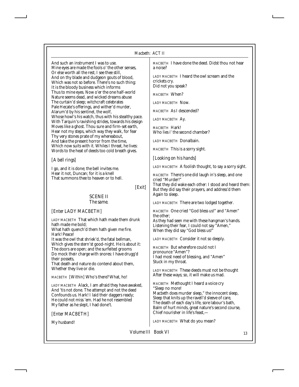#### *Macbeth: ACT II*

And such an instrument I was to use. Mine eyes are made the fools o' the other senses, Or else worth all the rest; I see thee still, And on thy blade and dudgeon gouts of blood, Which was not so before. There's no such thing: It is the bloody business which informs Thus to mine eyes. Now o'er the one half-world Nature seems dead, and wicked dreams abuse The curtain'd sleep; witchcraft celebrates Pale Hecate's offerings, and wither'd murder, Alarum'd by his sentinel, the wolf, Whose howl's his watch, thus with his stealthy pace. With Tarquin's ravishing strides, towards his design Moves like a ghost. Thou sure and firm-set earth, Hear not my steps, which way they walk, for fear Thy very stones prate of my whereabout, And take the present horror from the time, Which now suits with it. Whiles I threat, he lives: Words to the heat of deeds too cold breath gives.

#### *[A bell rings]*

I go, and it is done; the bell invites me. Hear it not, Duncan; for it is a knell That summons thee to heaven or to hell.

*[Exit]*

#### SCENE II *The same.*

#### *[Enter LADY MACBETH]*

*LADY MACBETH* That which hath made them drunk hath made me bold;

What hath quench'd them hath given me fire. Hark! Peace!

It was the owl that shriek'd, the fatal bellman, Which gives the stern'st good-night. He is about it: The doors are open; and the surfeited grooms Do mock their charge with snores: I have drugg'd their possets,

That death and nature do contend about them, Whether they live or die.

*MACBETH [Within]* Who's there? What, ho!

*LADY MACBETH* Alack, I am afraid they have awaked, And 'tis not done. The attempt and not the deed Confounds us. Hark! I laid their daggers ready; He could not miss 'em. Had he not resembled My father as he slept, I had done't.

*[Enter MACBETH]*

My husband!

*MACBETH* I have done the deed. Didst thou not hear a noise?

*LADY MACBETH* I heard the owl scream and the crickets cry. Did not you speak?

*MACBETH* When?

*LADY MACBETH* Now.

*MACBETH* As I descended?

*LADY MACBETH* Ay.

*MACBETH* Hark! Who lies i' the second chamber?

*LADY MACBETH* Donalbain.

*MACBETH* This is a sorry sight.

*[Looking on his hands]*

*LADY MACBETH* A foolish thought, to say a sorry sight.

*MACBETH* There's one did laugh in's sleep, and one cried "Murder!"

That they did wake each other: I stood and heard them: But they did say their prayers, and address'd them Again to sleep.

*LADY MACBETH* There are two lodged together.

*MACBETH* One cried "God bless us!" and "Amen" the other;

As they had seen me with these hangman's hands. Listening their fear, I could not say "Amen," When they did say "God bless us!"

*LADY MACBETH* Consider it not so deeply.

*MACBETH* But wherefore could not I pronounce "Amen"? I had most need of blessing, and "Amen" Stuck in my throat.

*LADY MACBETH* These deeds must not be thought After these ways; so, it will make us mad.

*MACBETH* Methought I heard a voice cry "Sleep no more! Macbeth does murder sleep," the innocent sleep, Sleep that knits up the ravell'd sleeve of care, The death of each day's life, sore labour's bath, Balm of hurt minds, great nature's second course, Chief nourisher in life's feast,—

*LADY MACBETH* What do you mean?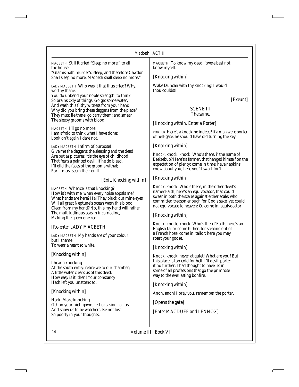*MACBETH* Still it cried "Sleep no more!" to all the house:

"Glamis hath murder'd sleep, and therefore Cawdor Shall sleep no more; Macbeth shall sleep no more."

*LADY MACBETH* Who was it that thus cried? Why, worthy thane,

You do unbend your noble strength, to think So brainsickly of things. Go get some water, And wash this filthy witness from your hand. Why did you bring these daggers from the place? They must lie there: go carry them; and smear The sleepy grooms with blood.

*MACBETH* I'll go no more: I am afraid to think what I have done; Look on't again I dare not.

*LADY MACBETH* Infirm of purpose! Give me the daggers: the sleeping and the dead Are but as pictures: 'tis the eye of childhood That fears a painted devil. If he do bleed, I'll gild the faces of the grooms withal; For it must seem their guilt.

## *[Exit. Knocking within]*

*MACBETH* Whence is that knocking? How is't with me, when every noise appals me? What hands are here? Ha! They pluck out mine eyes. Will all great Neptune's ocean wash this blood Clean from my hand? No, this my hand will rather The multitudinous seas in incarnadine, Making the green one red.

## *[Re-enter LADY MACBETH]*

*LADY MACBETH* My hands are of your colour; but I shame To wear a heart so white.

## *[Knocking within]*

I hear a knocking At the south entry: retire we to our chamber; A little water clears us of this deed: How easy is it, then! Your constancy Hath left you unattended.

## *[Knocking within]*

Hark! More knocking. Get on your nightgown, lest occasion call us, And show us to be watchers. Be not lost So poorly in your thoughts.

*MACBETH* To know my deed, 'twere best not know myself.

## *[Knocking within]*

Wake Duncan with thy knocking! I would thou couldst!

*[Exeunt]*

## SCENE III *The same.*

## *[Knocking within. Enter a Porter]*

*PORTER* Here's a knocking indeed! If a man were porter of hell-gate, he should have old turning the key.

## *[Knocking within]*

Knock, knock, knock! Who's there, i' the name of Beelzebub? Here's a farmer, that hanged himself on the expectation of plenty: come in time; have napkins enow about you; here you'll sweat for't.

## *[Knocking within]*

Knock, knock! Who's there, in the other devil's name? Faith, here's an equivocator, that could swear in both the scales against either scale; who committed treason enough for God's sake, yet could not equivocate to heaven: O, come in, equivocator.

## *[Knocking within]*

Knock, knock, knock! Who's there? Faith, here's an English tailor come hither, for stealing out of a French hose: come in, tailor; here you may roast your goose.

## *[Knocking within]*

Knock, knock; never at quiet! What are you? But this place is too cold for hell. I'll devil-porter it no further: I had thought to have let in some of all professions that go the primrose way to the everlasting bonfire.

## *[Knocking within]*

Anon, anon! I pray you, remember the porter.

*[Opens the gate]*

*[Enter MACDUFF and LENNOX]*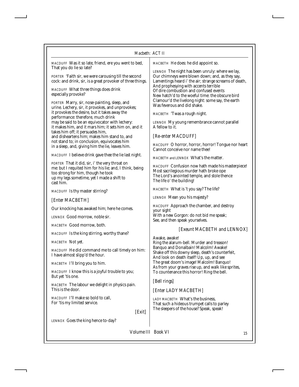| Macbeth: ACT II                                                                                                                                                                                                                                                                                 |                                                                                                                                                                                                                                                                                                     |  |
|-------------------------------------------------------------------------------------------------------------------------------------------------------------------------------------------------------------------------------------------------------------------------------------------------|-----------------------------------------------------------------------------------------------------------------------------------------------------------------------------------------------------------------------------------------------------------------------------------------------------|--|
| MACDUFF Was it so late, friend, ere you went to bed,<br>That you do lie so late?                                                                                                                                                                                                                | MACBETH He does: he did appoint so.                                                                                                                                                                                                                                                                 |  |
| PORTER 'Faith sir, we were carousing till the second<br>cock: and drink, sir, is a great provoker of three things.                                                                                                                                                                              | LENNOX The night has been unruly: where we lay,<br>Our chimneys were blown down; and, as they say,<br>Lamentings heard i' the air; strange screams of death,<br>And prophesying with accents terrible<br>Of dire combustion and confused events<br>New hatch'd to the woeful time: the obscure bird |  |
| MACDUFF What three things does drink<br>especially provoke?                                                                                                                                                                                                                                     |                                                                                                                                                                                                                                                                                                     |  |
| PORTER Marry, sir, nose-painting, sleep, and<br>urine. Lechery, sir, it provokes, and unprovokes;                                                                                                                                                                                               | Clamour'd the livelong night: some say, the earth<br>Was feverous and did shake.                                                                                                                                                                                                                    |  |
| it provokes the desire, but it takes away the<br>performance: therefore, much drink                                                                                                                                                                                                             | MACBETH 'Twas a rough night.                                                                                                                                                                                                                                                                        |  |
| may be said to be an equivocator with lechery:<br>it makes him, and it mars him; it sets him on, and it<br>takes him off; it persuades him,<br>and disheartens him; makes him stand to, and<br>not stand to; in conclusion, equivocates him<br>in a sleep, and, giving him the lie, leaves him. | LENNOX My young remembrance cannot parallel<br>A fellow to it.                                                                                                                                                                                                                                      |  |
|                                                                                                                                                                                                                                                                                                 | [Re-enter MACDUFF]                                                                                                                                                                                                                                                                                  |  |
|                                                                                                                                                                                                                                                                                                 | MACDUFF O horror, horror, horror! Tongue nor heart<br>Cannot conceive nor name thee!                                                                                                                                                                                                                |  |
| MACDUFF I believe drink gave thee the lie last night.                                                                                                                                                                                                                                           | MACBETH and LENNOX What's the matter.                                                                                                                                                                                                                                                               |  |
| PORTER That it did, sir, i' the very throat on<br>me: but I requited him for his lie; and, I think, being<br>too strong for him, though he took<br>up my legs sometime, yet I made a shift to<br>cast him.                                                                                      | MACDUFF Confusion now hath made his masterpiece!<br>Most sacrilegious murder hath broke ope<br>The Lord's anointed temple, and stole thence<br>The life o' the building!                                                                                                                            |  |
| MACDUFF Is thy master stirring?                                                                                                                                                                                                                                                                 | MACBETH What is 't you say? The life?                                                                                                                                                                                                                                                               |  |
| [Enter MACBETH]                                                                                                                                                                                                                                                                                 | LENNOX Mean you his majesty?                                                                                                                                                                                                                                                                        |  |
| Our knocking has awaked him; here he comes.                                                                                                                                                                                                                                                     | MACDUFF Approach the chamber, and destroy<br>your sight                                                                                                                                                                                                                                             |  |
| LENNOX Good morrow, noble sir.                                                                                                                                                                                                                                                                  | With a new Gorgon: do not bid me speak;<br>See, and then speak yourselves.                                                                                                                                                                                                                          |  |
| MACBETH Good morrow, both.                                                                                                                                                                                                                                                                      |                                                                                                                                                                                                                                                                                                     |  |
| MACDUFF Is the king stirring, worthy thane?                                                                                                                                                                                                                                                     | [Exeunt MACBETH and LENNOX]                                                                                                                                                                                                                                                                         |  |
| MACBETH Not yet.                                                                                                                                                                                                                                                                                | Awake, awake!<br>Ring the alarum-bell. Murder and treason!                                                                                                                                                                                                                                          |  |
| MACDUFF He did command me to call timely on him:<br>I have almost slipp'd the hour.                                                                                                                                                                                                             | Banquo and Donalbain! Malcolm! Awake!<br>Shake off this downy sleep, death's counterfeit,<br>And look on death itself! Up, up, and see                                                                                                                                                              |  |
| MACBETH I'll bring you to him.                                                                                                                                                                                                                                                                  | The great doom's image! Malcolm! Banquo!                                                                                                                                                                                                                                                            |  |
| MACDUFF I know this is a joyful trouble to you;<br>But yet 'tis one.                                                                                                                                                                                                                            | As from your graves rise up, and walk like sprites,<br>To countenance this horror! Ring the bell.                                                                                                                                                                                                   |  |
| MACBETH The labour we delight in physics pain.<br>This is the door.                                                                                                                                                                                                                             | [Bell rings]<br>[Enter LADY MACBETH]                                                                                                                                                                                                                                                                |  |
| MACDUFF I'll make so bold to call,<br>For 'tis my limited service.<br>[Exit]                                                                                                                                                                                                                    | LADY MACBETH What's the business,<br>That such a hideous trumpet calls to parley<br>The sleepers of the house? Speak, speak!                                                                                                                                                                        |  |
| LENNOX Goes the king hence to-day?                                                                                                                                                                                                                                                              |                                                                                                                                                                                                                                                                                                     |  |
|                                                                                                                                                                                                                                                                                                 |                                                                                                                                                                                                                                                                                                     |  |

I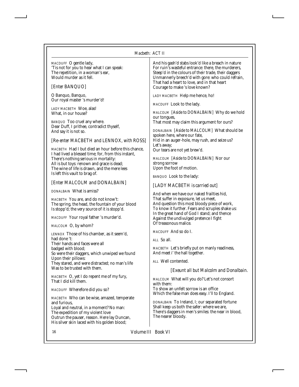| MACDUFF O gentle lady,<br>'Tis not for you to hear what I can speak:<br>The repetition, in a woman's ear,<br>Would murder as it fell. | And his gash'd stabs look'd like a breach in nature<br>For ruin's wasteful entrance: there, the murderers,<br>Steep'd in the colours of their trade, their daggers<br>Unmannerly breech'd with gore: who could refrain,<br>That had a heart to love, and in that heart |
|---------------------------------------------------------------------------------------------------------------------------------------|------------------------------------------------------------------------------------------------------------------------------------------------------------------------------------------------------------------------------------------------------------------------|
| [Enter BANQUO]                                                                                                                        | Courage to make 's love known?                                                                                                                                                                                                                                         |
| O Banquo, Banquo,<br>Our royal master 's murder'd!                                                                                    | LADY MACBETH Help me hence, ho!                                                                                                                                                                                                                                        |
| LADY MACBETH Woe, alas!                                                                                                               | MACDUFF Look to the lady.                                                                                                                                                                                                                                              |
| What, in our house?                                                                                                                   | MALCOLM [Aside to DONALBAIN] Why do we hold<br>our tongues,                                                                                                                                                                                                            |
| BANQUO Too cruel any where.                                                                                                           | That most may claim this argument for ours?                                                                                                                                                                                                                            |
| Dear Duff, I prithee, contradict thyself,<br>And say it is not so.                                                                    | DONALBAIN [Aside to MALCOLM] What should be                                                                                                                                                                                                                            |
| [Re-enter MACBETH and LENNOX, with ROSS]                                                                                              | spoken here, where our fate,<br>Hid in an auger-hole, may rush, and seize us?                                                                                                                                                                                          |
| MACBETH Had I but died an hour before this chance,                                                                                    | Let's away;<br>Our tears are not yet brew'd.                                                                                                                                                                                                                           |
| I had lived a blessed time; for, from this instant,<br>There's nothing serious in mortality:                                          | MALCOLM [Aside to DONALBAIN] Nor our                                                                                                                                                                                                                                   |
| All is but toys: renown and grace is dead;                                                                                            | strong sorrow<br>Upon the foot of motion.                                                                                                                                                                                                                              |
| The wine of life is drawn, and the mere lees<br>Is left this vault to brag of.                                                        |                                                                                                                                                                                                                                                                        |
| [Enter MALCOLM and DONALBAIN]                                                                                                         | BANQUO Look to the lady:                                                                                                                                                                                                                                               |
| DONALBAIN What is amiss?                                                                                                              | [LADY MACBETH is carried out]                                                                                                                                                                                                                                          |
| MACBETH You are, and do not know't:                                                                                                   | And when we have our naked frailties hid,<br>That suffer in exposure, let us meet,                                                                                                                                                                                     |
| The spring, the head, the fountain of your blood<br>Is stopp'd; the very source of it is stopp'd.                                     | And question this most bloody piece of work,<br>To know it further. Fears and scruples shake us:                                                                                                                                                                       |
| MACDUFF Your royal father 's murder'd.                                                                                                | In the great hand of God I stand; and thence                                                                                                                                                                                                                           |
|                                                                                                                                       | Against the undivulged pretence I fight<br>Of treasonous malice.                                                                                                                                                                                                       |
| MALCOLM O, by whom?                                                                                                                   | <i>MACDUFF</i> And so do I.                                                                                                                                                                                                                                            |
| LENNOX Those of his chamber, as it seem'd,<br>had done 't:                                                                            | ALL So all.                                                                                                                                                                                                                                                            |
| Their hands and faces were all<br>badged with blood;                                                                                  | MACBETH Let's briefly put on manly readiness,                                                                                                                                                                                                                          |
| So were their daggers, which unwiped we found                                                                                         | And meet i' the hall together.                                                                                                                                                                                                                                         |
| Upon their pillows:<br>They stared, and were distracted; no man's life                                                                | ALL Well contented.                                                                                                                                                                                                                                                    |
| Was to be trusted with them.                                                                                                          | <i>Exeunt all but Malcolm and Donalbain.</i>                                                                                                                                                                                                                           |
| MACBETH O, yet I do repent me of my fury,<br>That I did kill them.                                                                    | MALCOLM What will you do? Let's not consort<br>with them:                                                                                                                                                                                                              |
| MACDUFF Wherefore did you so?                                                                                                         | To show an unfelt sorrow is an office<br>Which the false man does easy. I'll to England.                                                                                                                                                                               |
| MACBETH Who can be wise, amazed, temperate                                                                                            | DONALBAIN To Ireland, I; our separated fortune                                                                                                                                                                                                                         |
| and furious,<br>Loyal and neutral, in a moment? No man:                                                                               | Shall keep us both the safer: where we are,                                                                                                                                                                                                                            |
| The expedition of my violent love<br>Outrun the pauser, reason. Here lay Duncan,<br>His silver skin laced with his golden blood;      | There's daggers in men's smiles: the near in blood,<br>The nearer bloody.                                                                                                                                                                                              |
|                                                                                                                                       |                                                                                                                                                                                                                                                                        |

16 *Volume III Book VI*

j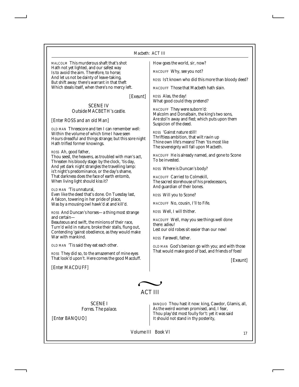*MALCOLM* This murderous shaft that's shot Hath not yet lighted, and our safest way Is to avoid the aim. Therefore, to horse; And let us not be dainty of leave-taking, But shift away: there's warrant in that theft Which steals itself, when there's no mercy left.

*[Exeunt]*

#### SCENE IV *Outside MACBETH's castle.*

## *[Enter ROSS and an old Man]*

*OLD MAN* Threescore and ten I can remember well: Within the volume of which time I have seen Hours dreadful and things strange; but this sore night Hath trifled former knowings.

*ROSS* Ah, good father,

Thou seest, the heavens, as troubled with man's act, Threaten his bloody stage: by the clock, 'tis day, And yet dark night strangles the travelling lamp: is't night's predominance, or the day's shame, That darkness does the face of earth entomb, When living light should kiss it?

*OLD MAN* 'Tis unnatural, Even like the deed that's done. On Tuesday last, A falcon, towering in her pride of place, Was by a mousing owl hawk'd at and kill'd.

*ROSS* And Duncan's horses—a thing most strange and certain—

Beauteous and swift, the minions of their race, Turn'd wild in nature, broke their stalls, flung out, Contending 'gainst obedience, as they would make War with mankind.

*OLD MAN* 'Tis said they eat each other.

*ROSS* They did so, to the amazement of mine eyes That look'd upon't. Here comes the good Macduff.

*[Enter MACDUFF]*

How goes the world, sir, now?

*MACDUFF* Why, see you not?

*ROSS* Is't known who did this more than bloody deed?

*MACDUFF* Those that Macbeth hath slain.

*ROSS* Alas, the day! What good could they pretend?

*MACDUFF* They were suborn'd: Malcolm and Donalbain, the king's two sons, Are stol'n away and fled; which puts upon them Suspicion of the deed.

*ROSS* 'Gainst nature still! Thriftless ambition, that wilt ravin up Thine own life's means! Then 'tis most like The sovereignty will fall upon Macbeth.

*MACDUFF* He is already named, and gone to Scone To be invested.

*ROSS* Where is Duncan's body?

*MACDUFF* Carried to Colmekill, The sacred storehouse of his predecessors, And guardian of their bones.

*ROSS* Will you to Scone?

*MACDUFF* No, cousin, I'll to Fife.

*ROSS* Well, I will thither.

*MACDUFF* Well, may you see things well done there: adieu! Lest our old robes sit easier than our new!

*ROSS* Farewell, father.

*OLD MAN* God's benison go with you; and with those That would make good of bad, and friends of foes!

*[Exeunt]*

ACT III

SCENE I *Forres. The palace.*

*[Enter BANQUO]*

*BANQUO* Thou hast it now: king, Cawdor, Glamis, all, As the weird women promised, and, I fear, Thou play'dst most foully for't: yet it was said It should not stand in thy posterity,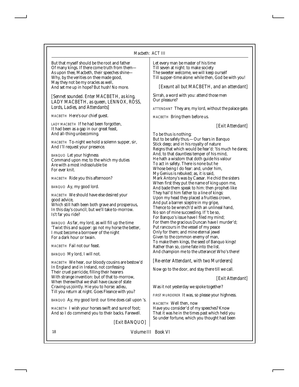#### *Macbeth: ACT III*

But that myself should be the root and father Of many kings. If there come truth from them— As upon thee, Macbeth, their speeches shine— Why, by the verities on thee made good, May they not be my oracles as well, And set me up in hope? But hush! No more.

*[Sennet sounded. Enter MACBETH, as king, LADY MACBETH, as queen, LENNOX, ROSS, Lords, Ladies, and Attendants]*

*MACBETH* Here's our chief guest.

*LADY MACBETH* If he had been forgotten, It had been as a gap in our great feast, And all-thing unbecoming.

*MACBETH* To-night we hold a solemn supper, sir, And I'll request your presence.

*BANQUO* Let your highness Command upon me; to the which my duties Are with a most indissoluble tie For ever knit.

*MACBETH* Ride you this afternoon?

*BANQUO* Ay, my good lord.

*MACBETH* We should have else desired your good advice,

Which still hath been both grave and prosperous, In this day's council; but we'll take to-morrow. Is't far you ride?

*BANQUO* As far, my lord, as will fill up the time 'Twixt this and supper: go not my horse the better, I must become a borrower of the night For a dark hour or twain.

*MACBETH* Fail not our feast.

*BANQUO* My lord, I will not.

*MACBETH* We hear, our bloody cousins are bestow'd In England and in Ireland, not confessing Their cruel parricide, filling their hearers With strange invention: but of that to-morrow, When therewithal we shall have cause of state Craving us jointly. Hie you to horse: adieu, Till you return at night. Goes Fleance with you?

*BANQUO* Ay, my good lord: our time does call upon 's.

*MACBETH* I wish your horses swift and sure of foot; And so I do commend you to their backs. Farewell.

*[Exit BANQUO]*

Let every man be master of his time Till seven at night: to make society The sweeter welcome, we will keep ourself Till supper-time alone: while then, God be with you!

*[Exeunt all but MACBETH, and an attendant]*

Sirrah, a word with you: attend those men Our pleasure?

*ATTENDANT* They are, my lord, without the palace gate.

*MACBETH* Bring them before us.

*[Exit Attendant]*

To be thus is nothing; But to be safely thus.—Our fears in Banquo Stick deep; and in his royalty of nature Reigns that which would be fear'd: 'tis much he dares; And, to that dauntless temper of his mind, He hath a wisdom that doth guide his valour To act in safety. There is none but he Whose being I do fear: and, under him, My Genius is rebuked; as, it is said, Mark Antony's was by Caesar. He chid the sisters When first they put the name of king upon me, And bade them speak to him: then prophet-like They hail'd him father to a line of kings: Upon my head they placed a fruitless crown, And put a barren sceptre in my gripe, Thence to be wrench'd with an unlineal hand, No son of mine succeeding. If 't be so, For Banquo's issue have I filed my mind; For them the gracious Duncan have I murder'd; Put rancours in the vessel of my peace Only for them; and mine eternal jewel Given to the common enemy of man, To make them kings, the seed of Banquo kings! Rather than so, come fate into the list. And champion me to the utterance! Who's there!

#### *[Re-enter Attendant, with two Murderers]*

Now go to the door, and stay there till we call.

*[Exit Attendant]*

Was it not yesterday we spoke together?

*FIRST MURDERER* It was, so please your highness.

*MACBETH* Well then, now Have you consider'd of my speeches? Know That it was he in the times past which held you So under fortune, which you thought had been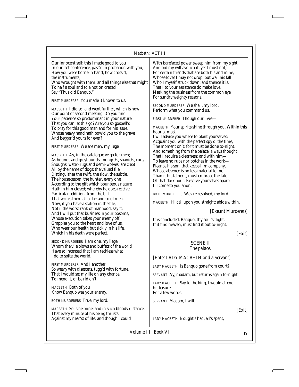| Our innocent self: this I made good to you<br>In our last conference, pass'd in probation with you,<br>How you were borne in hand, how cross'd,<br>the instruments,<br>Who wrought with them, and all things else that might<br>To half a soul and to a notion crazed<br>Say "Thus did Banquo."<br><b>FIRST MURDERER</b> You made it known to us.<br>MACBETH I did so, and went further, which is now<br>Our point of second meeting. Do you find<br>Your patience so predominant in your nature<br>That you can let this go? Are you so gospell'd<br>To pray for this good man and for his issue,<br>Whose heavy hand hath bow'd you to the grave<br>And beggar'd yours for ever?<br><i>FIRST MURDERER</i> We are men, my liege.<br><i>MACBETH</i> Ay, in the catalogue ye go for men;<br>As hounds and greyhounds, mongrels, spaniels, curs,<br>Shoughs, water-rugs and demi-wolves, are clept<br>All by the name of dogs: the valued file<br>Distinguishes the swift, the slow, the subtle,<br>The housekeeper, the hunter, every one<br>According to the gift which bounteous nature<br>Hath in him closed; whereby he does receive<br>Particular addition. from the bill<br>That writes them all alike: and so of men.<br>Now, if you have a station in the file,<br>Not i' the worst rank of manhood, say 't;<br>And I will put that business in your bosoms,<br>Whose execution takes your enemy off,<br>Grapples you to the heart and love of us,<br>Who wear our health but sickly in his life,<br>Which in his death were perfect.<br><i>SECOND MURDERER</i> 1 am one, my liege,<br>Whom the vile blows and buffets of the world<br>Have so incensed that I am reckless what<br>I do to spite the world.<br><b>FIRST MURDERER And I another</b> | With barefaced power sweep him from my sight<br>And bid my will avouch it, yet I must not,<br>For certain friends that are both his and mine,<br>Whose loves I may not drop, but wail his fall<br>Who I myself struck down; and thence it is,<br>That I to your assistance do make love,<br>Masking the business from the common eye<br>For sundry weighty reasons.<br><i>SECOND MURDERER</i> We shall, my lord,<br>Perform what you command us.<br><i>FIRST MURDERER</i> Though our lives—<br><i>MACBETH</i> Your spirits shine through you. Within this<br>hour at most<br>I will advise you where to plant yourselves;<br>Acquaint you with the perfect spy o' the time,<br>The moment on't; for't must be done to-night,<br>And something from the palace; always thought<br>That I require a clearness: and with him-<br>To leave no rubs nor botches in the work—<br>Fleance his son, that keeps him company,<br>Whose absence is no less material to me<br>Than is his father's, must embrace the fate<br>Of that dark hour. Resolve yourselves apart:<br>I'll come to you anon.<br>BOTH MURDERERS We are resolved, my lord.<br>MACBETH I'll call upon you straight: abide within.<br>[Exeunt Murderers]<br>It is concluded. Banquo, thy soul's flight,<br>If it find heaven, must find it out to-night.<br>[Exit]<br><b>SCENE II</b><br>The palace.<br>[Enter LADY MACBETH and a Servant]<br>LADY MACBETH Is Banquo gone from court? |
|-----------------------------------------------------------------------------------------------------------------------------------------------------------------------------------------------------------------------------------------------------------------------------------------------------------------------------------------------------------------------------------------------------------------------------------------------------------------------------------------------------------------------------------------------------------------------------------------------------------------------------------------------------------------------------------------------------------------------------------------------------------------------------------------------------------------------------------------------------------------------------------------------------------------------------------------------------------------------------------------------------------------------------------------------------------------------------------------------------------------------------------------------------------------------------------------------------------------------------------------------------------------------------------------------------------------------------------------------------------------------------------------------------------------------------------------------------------------------------------------------------------------------------------------------------------------------------------------------------------------------------------------------------------------------------------------------------------------------------------------------------------|----------------------------------------------------------------------------------------------------------------------------------------------------------------------------------------------------------------------------------------------------------------------------------------------------------------------------------------------------------------------------------------------------------------------------------------------------------------------------------------------------------------------------------------------------------------------------------------------------------------------------------------------------------------------------------------------------------------------------------------------------------------------------------------------------------------------------------------------------------------------------------------------------------------------------------------------------------------------------------------------------------------------------------------------------------------------------------------------------------------------------------------------------------------------------------------------------------------------------------------------------------------------------------------------------------------------------------------------------------------------------------------------------------------------------------------------|
| So weary with disasters, tugg'd with fortune,<br>That I would set my life on any chance,<br>To mend it. or be rid on't.                                                                                                                                                                                                                                                                                                                                                                                                                                                                                                                                                                                                                                                                                                                                                                                                                                                                                                                                                                                                                                                                                                                                                                                                                                                                                                                                                                                                                                                                                                                                                                                                                                   | SERVANT Ay, madam, but returns again to-night.                                                                                                                                                                                                                                                                                                                                                                                                                                                                                                                                                                                                                                                                                                                                                                                                                                                                                                                                                                                                                                                                                                                                                                                                                                                                                                                                                                                               |
| <i>MACBETH</i> Both of you<br>Know Banquo was your enemy.                                                                                                                                                                                                                                                                                                                                                                                                                                                                                                                                                                                                                                                                                                                                                                                                                                                                                                                                                                                                                                                                                                                                                                                                                                                                                                                                                                                                                                                                                                                                                                                                                                                                                                 | LADY MACBETH Say to the king, I would attend<br>his leisure<br>For a few words.                                                                                                                                                                                                                                                                                                                                                                                                                                                                                                                                                                                                                                                                                                                                                                                                                                                                                                                                                                                                                                                                                                                                                                                                                                                                                                                                                              |
| <b>BOTH MURDERERS</b> True, my lord.                                                                                                                                                                                                                                                                                                                                                                                                                                                                                                                                                                                                                                                                                                                                                                                                                                                                                                                                                                                                                                                                                                                                                                                                                                                                                                                                                                                                                                                                                                                                                                                                                                                                                                                      | SERVANT Madam, I will.                                                                                                                                                                                                                                                                                                                                                                                                                                                                                                                                                                                                                                                                                                                                                                                                                                                                                                                                                                                                                                                                                                                                                                                                                                                                                                                                                                                                                       |

*MACBETH* So is he mine; and in such bloody distance, That every minute of his being thrusts Against my near'st of life: and though I could

*LADY MACBETH* Nought's had, all's spent,

*Volume III Book VI* 19

*[Exit]*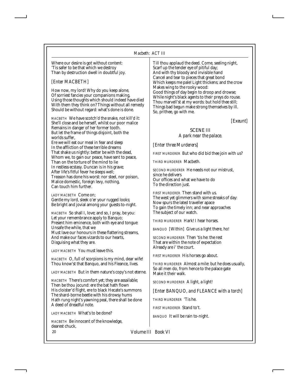Where our desire is got without content: 'Tis safer to be that which we destroy Than by destruction dwell in doubtful joy.

## *[Enter MACBETH]*

How now, my lord! Why do you keep alone, Of sorriest fancies your companions making, Using those thoughts which should indeed have died With them they think on? Things without all remedy Should be without regard: what's done is done.

*MACBETH* We have scotch'd the snake, not kill'd it: She'll close and be herself, whilst our poor malice Remains in danger of her former tooth. But let the frame of things disjoint, both the worlds suffer,

Ere we will eat our meal in fear and sleep In the affliction of these terrible dreams That shake us nightly: better be with the dead, Whom we, to gain our peace, have sent to peace, Than on the torture of the mind to lie In restless ecstasy. Duncan is in his grave; After life's fitful fever he sleeps well; Treason has done his worst: nor steel, nor poison, Malice domestic, foreign levy, nothing, Can touch him further.

*LADY MACBETH* Come on; Gentle my lord, sleek o'er your rugged looks; Be bright and jovial among your guests to-night.

*MACBETH* So shall I, love; and so, I pray, be you: Let your remembrance apply to Banquo; Present him eminence, both with eye and tongue: Unsafe the while, that we Must lave our honours in these flattering streams, And make our faces vizards to our hearts, Disguising what they are.

*LADY MACBETH* You must leave this.

*MACBETH* O, full of scorpions is my mind, dear wife! Thou know'st that Banquo, and his Fleance, lives.

*LADY MACBETH* But in them nature's copy's not eterne.

*MACBETH* There's comfort yet; they are assailable; Then be thou jocund: ere the bat hath flown His cloister'd flight, ere to black Hecate's summons The shard-borne beetle with his drowsy hums Hath rung night's yawning peal, there shall be done A deed of dreadful note.

*LADY MACBETH* What's to be done?

*MACBETH* Be innocent of the knowledge, dearest chuck,

Till thou applaud the deed. Come, seeling night, Scarf up the tender eye of pitiful day; And with thy bloody and invisible hand Cancel and tear to pieces that great bond Which keeps me pale! Light thickens; and the crow Makes wing to the rooky wood: Good things of day begin to droop and drowse; While night's black agents to their preys do rouse. Thou marvell'st at my words: but hold thee still; Things bad begun make strong themselves by ill. So, prithee, go with me.

*[Exeunt]*

## SCENE III *A park near the palace.*

*[Enter three Murderers]*

*FIRST MURDERER* But who did bid thee join with us?

*THIRD MURDERER* Macbeth.

*SECOND MURDERER* He needs not our mistrust, since he delivers Our offices and what we have to do To the direction just.

*FIRST MURDERER* Then stand with us. The west yet glimmers with some streaks of day: Now spurs the lated traveller apace To gain the timely inn; and near approaches The subject of our watch.

*THIRD MURDERER* Hark! I hear horses.

*BANQUO [Within]* Give us a light there, ho!

*SECOND MURDERER* Then 'tis he: the rest That are within the note of expectation Already are i' the court.

*FIRST MURDERER* His horses go about.

*THIRD MURDERER* Almost a mile: but he does usually, So all men do, from hence to the palace gate Make it their walk.

*SECOND MURDERER* A light, a light!

*[Enter BANQUO, and FLEANCE with a torch]*

*THIRD MURDERER* 'Tis he.

*FIRST MURDERER* Stand to't.

*BANQUO* It will be rain to-night.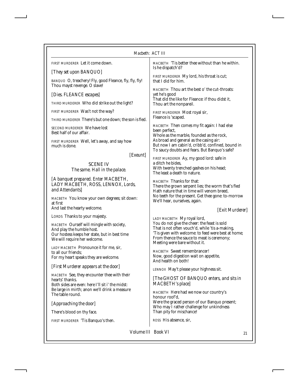| Macbeth: ACT III                                                                                                                                                    |                                                                                                                                                                                                      |  |
|---------------------------------------------------------------------------------------------------------------------------------------------------------------------|------------------------------------------------------------------------------------------------------------------------------------------------------------------------------------------------------|--|
| <b>FIRST MURDERER</b> Let it come down.                                                                                                                             | MACBETH 'Tis better thee without than he within.<br>Is he dispatch'd?                                                                                                                                |  |
| [They set upon BANQUO]                                                                                                                                              | FIRST MURDERER My lord, his throat is cut;                                                                                                                                                           |  |
| BANQUO O, treachery! Fly, good Fleance, fly, fly, fly!<br>Thou mayst revenge. O slave!                                                                              | that I did for him.                                                                                                                                                                                  |  |
| [Dies. FLEANCE escapes]                                                                                                                                             | MACBETH Thou art the best o' the cut-throats:<br>yet he's good<br>That did the like for Fleance: if thou didst it,<br>Thou art the nonpareil.                                                        |  |
| THIRD MURDERER Who did strike out the light?                                                                                                                        |                                                                                                                                                                                                      |  |
| FIRST MURDERER Was't not the way?                                                                                                                                   | <b>FIRST MURDERER Most royal sir,</b>                                                                                                                                                                |  |
| THIRD MURDERER There's but one down; the son is fled.                                                                                                               | Fleance is 'scaped.                                                                                                                                                                                  |  |
| SECOND MURDERER We have lost<br>Best half of our affair.                                                                                                            | MACBETH Then comes my fit again: I had else<br>been perfect,<br>Whole as the marble, founded as the rock,                                                                                            |  |
| FIRST MURDERER Well, let's away, and say how<br>much is done.                                                                                                       | As broad and general as the casing air:<br>But now I am cabin'd, cribb'd, confined, bound in                                                                                                         |  |
| [Exeunt]                                                                                                                                                            | To saucy doubts and fears. But Banquo's safe?                                                                                                                                                        |  |
| <b>SCENE IV</b><br>The same. Hall in the palace.                                                                                                                    | FIRST MURDERER Ay, my good lord: safe in<br>a ditch he bides,<br>With twenty trenched gashes on his head;<br>The least a death to nature.                                                            |  |
| [A banquet prepared. Enter MACBETH,<br>LADY MACBETH, ROSS, LENNOX, Lords,<br>and Attendants]                                                                        | <b>MACBETH</b> Thanks for that:<br>There the grown serpent lies; the worm that's fled<br>Hath nature that in time will venom breed.                                                                  |  |
| MACBETH You know your own degrees; sit down:<br>at first                                                                                                            | No teeth for the present. Get thee gone: to-morrow<br>We'll hear, ourselves, again.                                                                                                                  |  |
| And last the hearty welcome.                                                                                                                                        | [Exit Murderer]                                                                                                                                                                                      |  |
| LORDS Thanks to your majesty.                                                                                                                                       | LADY MACBETH My royal lord,                                                                                                                                                                          |  |
| MACBETH Ourself will mingle with society,<br>And play the humble host.<br>Our hostess keeps her state, but in best time<br>We will require her welcome.             | You do not give the cheer: the feast is sold<br>That is not often vouch'd, while 'tis a-making,<br>'Tis given with welcome: to feed were best at home;<br>From thence the sauce to meat is ceremony; |  |
| LADY MACBETH Pronounce it for me, sir,                                                                                                                              | Meeting were bare without it.                                                                                                                                                                        |  |
| to all our friends:<br>For my heart speaks they are welcome.                                                                                                        | <b>MACBETH</b> Sweet remembrancer!<br>Now, good digestion wait on appetite,<br>And health on both!                                                                                                   |  |
| [First Murderer appears at the door]                                                                                                                                | LENNOX May't please your highness sit.                                                                                                                                                               |  |
| MACBETH See, they encounter thee with their<br>hearts' thanks.<br>Both sides are even: here I'll sit i' the midst:<br>Be large in mirth; anon we'll drink a measure | [The GHOST OF BANQUO enters, and sits in<br>MACBETH's place]                                                                                                                                         |  |
| The table round.                                                                                                                                                    | MACBETH Here had we now our country's<br>honour roof'd,                                                                                                                                              |  |
| [Approaching the door]                                                                                                                                              | Were the graced person of our Banquo present;<br>Who may I rather challenge for unkindness                                                                                                           |  |
| There's blood on thy face.                                                                                                                                          | Than pity for mischance!                                                                                                                                                                             |  |
| FIRST MURDERER 'Tis Banquo's then.                                                                                                                                  | ROSS His absence, sir,                                                                                                                                                                               |  |
| Volume III Book VI<br>21                                                                                                                                            |                                                                                                                                                                                                      |  |

 $\overline{1}$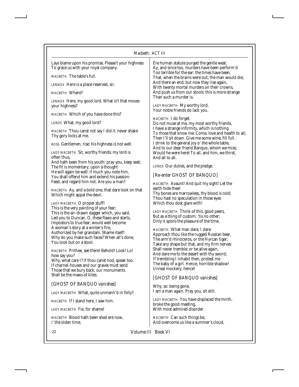## *Macbeth: ACT III*

÷.

| Lays blame upon his promise. Please't your highness<br>To grace us with your royal company.  | Ere human statute purged the gentle weal;<br>Ay, and since too, murders have been perform'd                                                               |
|----------------------------------------------------------------------------------------------|-----------------------------------------------------------------------------------------------------------------------------------------------------------|
| MACBETH The table's full.                                                                    | Too terrible for the ear: the times have been,<br>That, when the brains were out, the man would die,                                                      |
| LENNOX Here is a place reserved, sir.                                                        | And there an end; but now they rise again,<br>With twenty mortal murders on their crowns,<br>And push us from our stools: this is more strange            |
| MACBETH Where?                                                                               |                                                                                                                                                           |
| LENNOX Here, my good lord. What is't that moves<br>your highness?                            | Than such a murder is.<br>LADY MACBETH My worthy lord,<br>Your noble friends do lack you.                                                                 |
| MACBETH Which of you have done this?                                                         | MACBETH I do forget.                                                                                                                                      |
| LORDS What, my good lord?                                                                    | Do not muse at me, my most worthy friends,                                                                                                                |
| MACBETH Thou canst not say I did it: never shake<br>Thy gory locks at me.                    | I have a strange infirmity, which is nothing<br>To those that know me. Come, love and health to all;<br>Then I'll sit down. Give me some wine; fill full. |
| ROSS Gentlemen, rise: his highness is not well.                                              | I drink to the general joy o' the whole table,<br>And to our dear friend Banquo, whom we miss;                                                            |
| LADY MACBETH Sit, worthy friends: my lord is<br>often thus,                                  | Would he were here! To all, and him, we thirst,<br>And all to all.                                                                                        |
| And hath been from his youth: pray you, keep seat;<br>The fit is momentary; upon a thought   | LORDS Our duties, and the pledge.                                                                                                                         |
| He will again be well: if much you note him,<br>You shall offend him and extend his passion: | [Re-enter GHOST OF BANQUO]                                                                                                                                |
| Feed, and regard him not. Are you a man?                                                     | MACBETH Avaunt! And quit my sight! Let the                                                                                                                |
| MACBETH Ay, and a bold one, that dare look on that<br>Which might appal the devil.           | earth hide thee!<br>Thy bones are marrowless, thy blood is cold;                                                                                          |
| LADY MACBETH O proper stuff!                                                                 | Thou hast no speculation in those eyes<br>Which thou dost glare with!                                                                                     |
| This is the very painting of your fear:<br>This is the air-drawn dagger which, you said,     | <i>LADY MACBETH</i> Think of this, good peers,                                                                                                            |
| Led you to Duncan. O, these flaws and starts,<br>Impostors to true fear, would well become   | But as a thing of custom: 'tis no other;<br>Only it spoils the pleasure of the time.                                                                      |
| A woman's story at a winter's fire,                                                          | <i>MACBETH</i> What man dare, I dare:                                                                                                                     |
| Authorized by her grandam. Shame itself!<br>Why do you make such faces? When all's done,     | Approach thou like the rugged Russian bear,                                                                                                               |
| You look but on a stool.                                                                     | The arm'd rhinoceros, or the Hyrcan tiger;<br>Take any shape but that, and my firm nerves                                                                 |
| MACBETH Prithee, see there! Behold! Look! Lo!                                                | Shall never tremble: or be alive again,<br>And dare me to the desert with thy sword;                                                                      |
| how say you?<br>Why, what care I? If thou canst nod, speak too.                              | If trembling I inhabit then, protest me                                                                                                                   |
| If charnel-houses and our graves must send                                                   | The baby of a girl. Hence, horrible shadow!<br>Unreal mockery, hence!                                                                                     |
| Those that we bury back, our monuments<br>Shall be the maws of kites.                        | [GHOST OF BANQUO vanishes]                                                                                                                                |
| [GHOST OF BANQUO vanishes]                                                                   |                                                                                                                                                           |
| LADY MACBETH What, quite unmann'd in folly?                                                  | Why, so: being gone,<br>I am a man again. Pray you, sit still.                                                                                            |
| MACBETH If I stand here. I saw him.                                                          | LADY MACBETH You have displaced the mirth,                                                                                                                |
| LADY MACBETH Fie, for shame!                                                                 | broke the good meeting,<br>With most admired disorder.                                                                                                    |
| MACBETH Blood hath been shed ere now.<br>i' the olden time,                                  | MACBETH Can such things be,<br>And overcome us like a summer's cloud,                                                                                     |
|                                                                                              |                                                                                                                                                           |

22 *Volume III Book VI*

I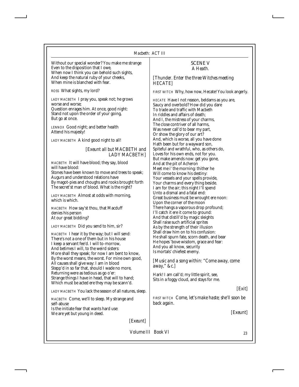Without our special wonder? You make me strange Even to the disposition that I owe, When now I think you can behold such sights, And keep the natural ruby of your cheeks, When mine is blanched with fear.

*ROSS* What sights, my lord?

*LADY MACBETH* I pray you, speak not; he grows worse and worse; Question enrages him. At once, good night: Stand not upon the order of your going, But go at once.

*LENNOX* Good night; and better health Attend his majesty!

*LADY MACBETH* A kind good night to all!

*[Exeunt all but MACBETH and LADY MACBETH]*

*MACBETH* It will have blood; they say, blood will have blood:

Stones have been known to move and trees to speak; Augurs and understood relations have By magot-pies and choughs and rooks brought forth The secret'st man of blood. What is the night?

*LADY MACBETH* Almost at odds with morning, which is which.

*MACBETH* How say'st thou, that Macduff denies his person At our great bidding?

*LADY MACBETH* Did you send to him, sir?

*MACBETH* I hear it by the way; but I will send: There's not a one of them but in his house I keep a servant fee'd. I will to-morrow, And betimes I will, to the weird sisters: More shall they speak; for now I am bent to know, By the worst means, the worst. For mine own good, All causes shall give way: I am in blood Stepp'd in so far that, should I wade no more, Returning were as tedious as go o'er: Strange things I have in head, that will to hand; Which must be acted ere they may be scann'd.

*LADY MACBETH* You lack the season of all natures, sleep.

*MACBETH* Come, we'll to sleep. My strange and self-abuse Is the initiate fear that wants hard use: We are yet but young in deed.

*[Exeunt]*

### SCENE V *A Heath.*

*[Thunder. Enter the three Witches meeting HECATE]*

*FIRST WITCH* Why, how now, Hecate! You look angerly.

*HECATE* Have I not reason, beldams as you are, Saucy and overbold? How did you dare To trade and traffic with Macbeth In riddles and affairs of death; And I, the mistress of your charms, The close contriver of all harms, Was never call'd to bear my part, Or show the glory of our art? And, which is worse, all you have done Hath been but for a wayward son, Spiteful and wrathful, who, as others do, Loves for his own ends, not for you. But make amends now: get you gone, And at the pit of Acheron Meet me i' the morning: thither he Will come to know his destiny: Your vessels and your spells provide, Your charms and every thing beside. I am for the air; this night I'll spend Unto a dismal and a fatal end: Great business must be wrought ere noon: Upon the corner of the moon There hangs a vaporous drop profound; I'll catch it ere it come to ground: And that distill'd by magic sleights Shall raise such artificial sprites As by the strength of their illusion Shall draw him on to his confusion: He shall spurn fate, scorn death, and bear He hopes 'bove wisdom, grace and fear: And you all know, security Is mortals' chiefest enemy.

*[Music and a song within: "Come away, come away," &c.]*

Hark! I am call'd; my little spirit, see, Sits in a foggy cloud, and stays for me.

*[Exit]*

*FIRST WITCH Come, let's make haste; she'll soon be back again.*

*[Exeunt]*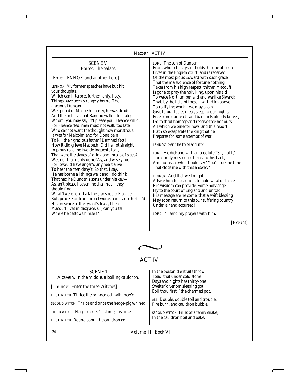## SCENE VI *Forres. The palace.*

## *[Enter LENNOX and another Lord]*

*LENNOX* My former speeches have but hit your thoughts,

Which can interpret further: only, I say, Things have been strangely borne. The gracious Duncan

Was pitied of Macbeth: marry, he was dead: And the right-valiant Banquo walk'd too late; Whom, you may say, if't please you, Fleance kill'd, For Fleance fled: men must not walk too late. Who cannot want the thought how monstrous It was for Malcolm and for Donalbain To kill their gracious father? Damned fact! How it did grieve Macbeth! Did he not straight In pious rage the two delinquents tear, That were the slaves of drink and thralls of sleep? Was not that nobly done? Ay, and wisely too; For 'twould have anger'd any heart alive To hear the men deny't. So that, I say, He has borne all things well: and I do think That had he Duncan's sons under his key— As, an't please heaven, he shall not—they should find

What 'twere to kill a father; so should Fleance. But, peace! For from broad words and 'cause he fail'd His presence at the tyrant's feast, I hear Macduff lives in disgrace: sir, can you tell Where he bestows himself?

*LORD* The son of Duncan, From whom this tyrant holds the due of birth Lives in the English court, and is received Of the most pious Edward with such grace That the malevolence of fortune nothing Takes from his high respect: thither Macduff Is gone to pray the holy king, upon his aid To wake Northumberland and warlike Siward: That, by the help of these—with Him above To ratify the work—we may again Give to our tables meat, sleep to our nights, Free from our feasts and banquets bloody knives, Do faithful homage and receive free honours: All which we pine for now: and this report Hath so exasperate the king that he Prepares for some attempt of war.

*LENNOX* Sent he to Macduff?

*LORD* He did: and with an absolute "Sir, not I," The cloudy messenger turns me his back, And hums, as who should say "You'll rue the time That clogs me with this answer."

*LENNOX* And that well might Advise him to a caution, to hold what distance His wisdom can provide. Some holy angel Fly to the court of England and unfold His message ere he come, that a swift blessing May soon return to this our suffering country Under a hand accursed!

*LORD* I'll send my prayers with him.

*[Exeunt]*



## ACT IV

SCENE 1 *A cavern. In the middle, a boiling cauldron. [Thunder. Enter the three Witches] FIRST WITCH* Thrice the brinded cat hath mew'd. *SECOND WITCH* Thrice and once the hedge-pig whined. *THIRD WITCH* Harpier cries 'Tis time, 'tis time. *FIRST WITCH* Round about the cauldron go;

In the poison'd entrails throw. Toad, that under cold stone Days and nights has thirty-one Swelter'd venom sleeping got, Boil thou first i' the charmed pot.

*ALL* Double, double toil and trouble; Fire burn, and cauldron bubble.

*SECOND WITCH* Fillet of a fenny snake, In the cauldron boil and bake;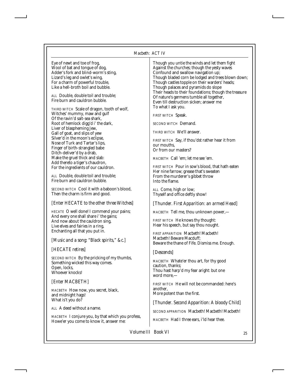#### *Macbeth: ACT IV*

Eye of newt and toe of frog, Wool of bat and tongue of dog, Adder's fork and blind-worm's sting, Lizard's leg and owlet's wing, For a charm of powerful trouble, Like a hell-broth boil and bubble.

*ALL* Double, double toil and trouble; Fire burn and cauldron bubble.

*THIRD WITCH* Scale of dragon, tooth of wolf, Witches' mummy, maw and gulf Of the ravin'd salt-sea shark, Root of hemlock digg'd i' the dark, Liver of blaspheming Jew, Gall of goat, and slips of yew Silver'd in the moon's eclipse, Nose of Turk and Tartar's lips, Finger of birth-strangled babe Ditch-deliver'd by a drab, Make the gruel thick and slab: Add thereto a tiger's chaudron, For the ingredients of our cauldron.

*ALL* Double, double toil and trouble; Fire burn and cauldron bubble.

*SECOND WITCH* Cool it with a baboon's blood, Then the charm is firm and good.

#### *[Enter HECATE to the other three Witches]*

*HECATE* O well done! I commend your pains; And every one shall share i' the gains; And now about the cauldron sing, Live elves and fairies in a ring, Enchanting all that you put in.

#### *[Music and a song: "Black spirits," &c.]*

#### *[HECATE retires]*

*SECOND WITCH* By the pricking of my thumbs, Something wicked this way comes. Open, locks, Whoever knocks!

#### *[Enter MACBETH]*

*MACBETH* How now, you secret, black, and midnight hags! What is't you do?

*ALL* A deed without a name.

*MACBETH* I conjure you, by that which you profess, Howe'er you come to know it, answer me:

Though you untie the winds and let them fight Against the churches; though the yesty waves Confound and swallow navigation up; Though bladed corn be lodged and trees blown down; Though castles topple on their warders' heads; Though palaces and pyramids do slope Their heads to their foundations; though the treasure Of nature's germens tumble all together, Even till destruction sicken; answer me To what I ask you.

*FIRST WITCH* Speak.

*SECOND WITCH* Demand.

*THIRD WITCH* We'll answer.

*FIRST WITCH* Say, if thou'dst rather hear it from our mouths, Or from our masters?

*MACBETH* Call 'em; let me see 'em.

*FIRST WITCH* Pour in sow's blood, that hath eaten Her nine farrow; grease that's sweaten From the murderer's gibbet throw Into the flame.

*ALL* Come, high or low; Thyself and office deftly show!

*[Thunder. First Apparition: an armed Head]*

*MACBETH* Tell me, thou unknown power,—

*FIRST WITCH* He knows thy thought: Hear his speech, but say thou nought.

*FIRST APPARITION* Macbeth! Macbeth! Macbeth! Beware Macduff; Beware the thane of Fife. Dismiss me. Enough.

#### *[Descends]*

*MACBETH* Whate'er thou art, for thy good caution, thanks; Thou hast harp'd my fear aright: but one word more,—

*FIRST WITCH* He will not be commanded: here's another, More potent than the first.

*[Thunder. Second Apparition: A bloody Child]*

*SECOND APPARITION* Macbeth! Macbeth! Macbeth!

*MACBETH* Had I three ears, i'ld hear thee.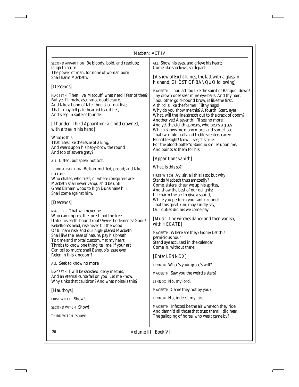| Macbeth: ACT IV                                                                                                                                                                                                                                                                                                |                                                                                                                                                                                                                                                                                                                                                                                                                                                                                                                                                                                                                                            |                                                                                                                           |
|----------------------------------------------------------------------------------------------------------------------------------------------------------------------------------------------------------------------------------------------------------------------------------------------------------------|--------------------------------------------------------------------------------------------------------------------------------------------------------------------------------------------------------------------------------------------------------------------------------------------------------------------------------------------------------------------------------------------------------------------------------------------------------------------------------------------------------------------------------------------------------------------------------------------------------------------------------------------|---------------------------------------------------------------------------------------------------------------------------|
| SECOND APPARITION Be bloody, bold, and resolute;<br>laugh to scorn<br>The power of man, for none of woman born<br>Shall harm Macbeth.                                                                                                                                                                          | ALL Show his eyes, and grieve his heart;<br>Come like shadows, so depart!<br>[A show of Eight Kings, the last with a glass in<br>his hand; GHOST OF BANQUO following]                                                                                                                                                                                                                                                                                                                                                                                                                                                                      |                                                                                                                           |
| [Descends]                                                                                                                                                                                                                                                                                                     |                                                                                                                                                                                                                                                                                                                                                                                                                                                                                                                                                                                                                                            |                                                                                                                           |
| MACBETH Then live, Macduff: what need I fear of thee?<br>But yet I'll make assurance double sure,<br>And take a bond of fate: thou shalt not live;<br>That I may tell pale-hearted fear it lies,<br>And sleep in spite of thunder.<br>[Thunder. Third Apparition: a Child crowned,<br>with a tree in his hand] | MACBETH Thou art too like the spirit of Banquo: down!<br>Thy crown does sear mine eye-balls. And thy hair,<br>Thou other gold-bound brow, is like the first.<br>A third is like the former. Filthy hags!<br>Why do you show me this? A fourth! Start, eyes!<br>What, will the line stretch out to the crack of doom?<br>Another yet! A seventh! I'll see no more:<br>And yet the eighth appears, who bears a glass<br>Which shows me many more; and some I see<br>That two-fold balls and treble scepters carry:<br>Horrible sight! Now, I see, 'tis true;<br>For the blood-bolter'd Banquo smiles upon me,<br>And points at them for his. |                                                                                                                           |
|                                                                                                                                                                                                                                                                                                                |                                                                                                                                                                                                                                                                                                                                                                                                                                                                                                                                                                                                                                            | What is this<br>That rises like the issue of a king,<br>And wears upon his baby-brow the round<br>And top of sovereignty? |
| ALL Listen, but speak not to't.                                                                                                                                                                                                                                                                                |                                                                                                                                                                                                                                                                                                                                                                                                                                                                                                                                                                                                                                            | [Apparitions vanish]                                                                                                      |
| THIRD APPARITION Be lion-mettled, proud; and take                                                                                                                                                                                                                                                              | What, is this so?                                                                                                                                                                                                                                                                                                                                                                                                                                                                                                                                                                                                                          |                                                                                                                           |
| no care<br>Who chafes, who frets, or where conspirers are:<br>Macbeth shall never vanquish'd be until<br>Great Birnam wood to high Dunsinane hill<br>Shall come against him.                                                                                                                                   | <i>FIRST WITCH</i> Ay, sir, all this is so: but why<br>Stands Macbeth thus amazedly?<br>Come, sisters, cheer we up his sprites,<br>And show the best of our delights:<br>I'll charm the air to give a sound,                                                                                                                                                                                                                                                                                                                                                                                                                               |                                                                                                                           |
| [Descends]                                                                                                                                                                                                                                                                                                     | While you perform your antic round:<br>That this great king may kindly say,                                                                                                                                                                                                                                                                                                                                                                                                                                                                                                                                                                |                                                                                                                           |
| <b>MACBETH</b> That will never be<br>Who can impress the forest, bid the tree<br>Unfix his earth-bound root? Sweet bodements! Good!<br>Rebellion's head, rise never till the wood                                                                                                                              | Our duties did his welcome pay.<br>[Music. The witches dance and then vanish,<br>with HECATE]                                                                                                                                                                                                                                                                                                                                                                                                                                                                                                                                              |                                                                                                                           |
| Of Birnam rise, and our high-placed Macbeth<br>Shall live the lease of nature, pay his breath<br>To time and mortal custom. Yet my heart<br>Throbs to know one thing: tell me, if your art<br>Can tell so much: shall Banquo's issue ever<br>Reign in this kingdom?                                            | MACBETH Where are they? Gone? Let this<br>pernicious hour<br>Stand aye accursed in the calendar!<br>Come in, without there!<br>[Enter LENNOX]                                                                                                                                                                                                                                                                                                                                                                                                                                                                                              |                                                                                                                           |
| ALL Seek to know no more.                                                                                                                                                                                                                                                                                      | LENNOX What's your grace's will?                                                                                                                                                                                                                                                                                                                                                                                                                                                                                                                                                                                                           |                                                                                                                           |
| MACBETH I will be satisfied: deny me this,<br>And an eternal curse fall on you! Let me know.                                                                                                                                                                                                                   | <i>MACBETH</i> Saw you the weird sisters?                                                                                                                                                                                                                                                                                                                                                                                                                                                                                                                                                                                                  |                                                                                                                           |
| Why sinks that cauldron? And what noise is this?                                                                                                                                                                                                                                                               | LENNOX No, my lord.                                                                                                                                                                                                                                                                                                                                                                                                                                                                                                                                                                                                                        |                                                                                                                           |
| [Hautboys]                                                                                                                                                                                                                                                                                                     | MACBETH Came they not by you?                                                                                                                                                                                                                                                                                                                                                                                                                                                                                                                                                                                                              |                                                                                                                           |
| FIRST WITCH Show!                                                                                                                                                                                                                                                                                              | LENNOX No, indeed, my lord.                                                                                                                                                                                                                                                                                                                                                                                                                                                                                                                                                                                                                |                                                                                                                           |
| SECOND WITCH Show!                                                                                                                                                                                                                                                                                             | MACBETH Infected be the air whereon they ride;                                                                                                                                                                                                                                                                                                                                                                                                                                                                                                                                                                                             |                                                                                                                           |
| <b>THIRD WITCH Show!</b>                                                                                                                                                                                                                                                                                       | And damn'd all those that trust them! I did hear<br>The galloning of horse: who was't came by?                                                                                                                                                                                                                                                                                                                                                                                                                                                                                                                                             |                                                                                                                           |

26 *Volume III Book VI*

The galloping of horse: who was't came by?

I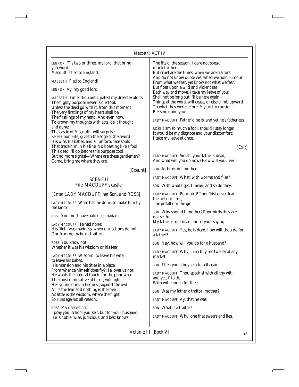## *Macbeth: ACT IV*

| масреш. АСТТV                                                                                                                                                                                                                                                                                                                                                                                                                                                                                                                                                                                                                                                                                                                                                                                                |                                                                                                                                                                                                                                                                                                                                                                                                                                                                                                                                                                                                                                                                                                                                                                                     |
|--------------------------------------------------------------------------------------------------------------------------------------------------------------------------------------------------------------------------------------------------------------------------------------------------------------------------------------------------------------------------------------------------------------------------------------------------------------------------------------------------------------------------------------------------------------------------------------------------------------------------------------------------------------------------------------------------------------------------------------------------------------------------------------------------------------|-------------------------------------------------------------------------------------------------------------------------------------------------------------------------------------------------------------------------------------------------------------------------------------------------------------------------------------------------------------------------------------------------------------------------------------------------------------------------------------------------------------------------------------------------------------------------------------------------------------------------------------------------------------------------------------------------------------------------------------------------------------------------------------|
| LENNOX 'Tis two or three, my lord, that bring<br>you word<br>Macduff is fled to England.<br>MACBETH Fled to England!<br><i>LENNOX</i> Ay, my good lord.<br><i>MACBETH</i> Time, thou anticipatest my dread exploits:<br>The flighty purpose never is o'ertook<br>Unless the deed go with it; from this moment<br>The very firstlings of my heart shall be<br>The firstlings of my hand. And even now,<br>To crown my thoughts with acts, be it thought<br>and done:<br>The castle of Macduff I will surprise;<br>Seize upon Fife; give to the edge o' the sword<br>His wife, his babes, and all unfortunate souls<br>That trace him in his line. No boasting like a fool;<br>This deed I'll do before this purpose cool.<br>But no more sights!-Where are these gentlemen?<br>Come, bring me where they are. | The fits o' the season. I dare not speak<br>much further:<br>But cruel are the times, when we are traitors<br>And do not know ourselves, when we hold rumour<br>From what we fear, yet know not what we fear,<br>But float upon a wild and violent sea<br>Each way and move. I take my leave of you:<br>Shall not be long but I'll be here again:<br>Things at the worst will cease, or else climb upward<br>To what they were before. My pretty cousin,<br>Blessing upon you!<br>LADY MACDUFF Father'd he is, and yet he's fatherless.<br><i>ROSS</i> I am so much a fool, should I stay longer,<br>It would be my disgrace and your discomfort:<br>I take my leave at once.<br>[Exit]<br>LADY MACDUFF Sirrah, your father's dead;<br>And what will you do now? How will you live? |
| [Exeunt]                                                                                                                                                                                                                                                                                                                                                                                                                                                                                                                                                                                                                                                                                                                                                                                                     | SON As birds do, mother.                                                                                                                                                                                                                                                                                                                                                                                                                                                                                                                                                                                                                                                                                                                                                            |
| <b>SCENE II</b><br>Fife. MACDUFF's castle.                                                                                                                                                                                                                                                                                                                                                                                                                                                                                                                                                                                                                                                                                                                                                                   | LADY MACDUFF What, with worms and flies?<br>SON With what I get, I mean; and so do they.                                                                                                                                                                                                                                                                                                                                                                                                                                                                                                                                                                                                                                                                                            |
| [Enter LADY MACDUFF, her Son, and ROSS]<br>LADY MACDUFF What had he done, to make him fly<br>the land?                                                                                                                                                                                                                                                                                                                                                                                                                                                                                                                                                                                                                                                                                                       | LADY MACDUFF Poor bird! Thou'ldst never fear<br>the net nor lime.<br>The pitfall nor the gin.                                                                                                                                                                                                                                                                                                                                                                                                                                                                                                                                                                                                                                                                                       |
| ROSS You must have patience, madam.<br>LADY MACDUFF He had none:<br>His flight was madness: when our actions do not,                                                                                                                                                                                                                                                                                                                                                                                                                                                                                                                                                                                                                                                                                         | SON Why should I, mother? Poor birds they are<br>not set for.<br>My father is not dead, for all your saying.<br>LADY MACDUFF Yes, he is dead; how wilt thou do for                                                                                                                                                                                                                                                                                                                                                                                                                                                                                                                                                                                                                  |
| Our fears do make us traitors.<br><i>ROSS</i> You know not<br>Whether it was his wisdom or his fear.                                                                                                                                                                                                                                                                                                                                                                                                                                                                                                                                                                                                                                                                                                         | a father?<br>SON Nay, how will you do for a husband?                                                                                                                                                                                                                                                                                                                                                                                                                                                                                                                                                                                                                                                                                                                                |
| <i>LADY MACDUFF</i> Wisdom! to leave his wife,<br>to leave his babes.<br>His mansion and his titles in a place<br>From whence himself does fly? He loves us not;<br>He wants the natural touch: for the poor wren,<br>The most diminutive of birds, will fight,<br>Her young ones in her nest, against the owl.<br>All is the fear and nothing is the love;<br>As little is the wisdom, where the flight<br>So runs against all reason.<br>ROSS My dearest coz,                                                                                                                                                                                                                                                                                                                                              | LADY MACDUFF Why, I can buy me twenty at any<br>market.<br>SON Then you'll buy 'em to sell again.<br>LADY MACDUFF Thou speak'st with all thy wit:<br>and yet, i' faith,<br>With wit enough for thee.<br>SON Was my father a traitor, mother?<br>LADY MACDUFF Ay, that he was.<br>SON What is a traitor?                                                                                                                                                                                                                                                                                                                                                                                                                                                                             |
| I pray you, school yourself: but for your husband,<br>He is noble, wise, judicious, and best knows                                                                                                                                                                                                                                                                                                                                                                                                                                                                                                                                                                                                                                                                                                           | LADY MACDUFF Why, one that swears and lies.                                                                                                                                                                                                                                                                                                                                                                                                                                                                                                                                                                                                                                                                                                                                         |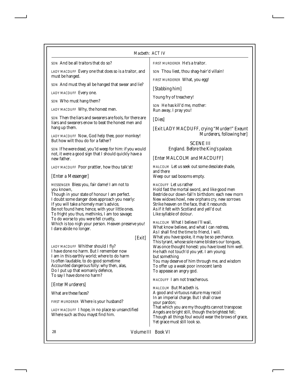*SON* And be all traitors that do so?

*LADY MACDUFF* Every one that does so is a traitor, and must be hanged.

*SON* And must they all be hanged that swear and lie?

*LADY MACDUFF* Every one.

*SON* Who must hang them?

*LADY MACDUFF* Why, the honest men.

*SON* Then the liars and swearers are fools, for there are liars and swearers enow to beat the honest men and hang up them.

*LADY MACDUFF* Now, God help thee, poor monkey! But how wilt thou do for a father?

*SON* If he were dead, you'ld weep for him: if you would not, it were a good sign that I should quickly have a new father.

*LADY MACDUFF* Poor prattler, how thou talk'st!

## *[Enter a Messenger]*

*MESSENGER* Bless you, fair dame! I am not to you known,

Though in your state of honour I am perfect. I doubt some danger does approach you nearly: If you will take a homely man's advice, Be not found here; hence, with your little ones. To fright you thus, methinks, I am too savage; To do worse to you were fell cruelty, Which is too nigh your person. Heaven preserve you! I dare abide no longer.

*[Exit]*

*LADY MACDUFF* Whither should I fly? I have done no harm. But I remember now I am in this earthly world; where to do harm Is often laudable, to do good sometime Accounted dangerous folly: why then, alas, Do I put up that womanly defence, To say I have done no harm?

*[Enter Murderers]*

What are these faces?

*FIRST MURDERER* Where is your husband?

*LADY MACDUFF* I hope, in no place so unsanctified Where such as thou mayst find him.

*FIRST MURDERER* He's a traitor.

*SON* Thou liest, thou shag-hair'd villain!

*FIRST MURDERER* What, you egg!

*[Stabbing him]*

Young fry of treachery!

*SON* He has kill'd me, mother: Run away, I pray you!

*[Dies]*

*[Exit LADY MACDUFF, crying "Murder!" Exeunt Murderers, following her]*

> SCENE III *England. Before the King's palace.*

*[Enter MALCOLM and MACDUFF]*

*MALCOLM* Let us seek out some desolate shade, and there Weep our sad bosoms empty.

*MACDUFF* Let us rather

Hold fast the mortal sword, and like good men Bestride our down-fall'n birthdom: each new morn New widows howl, new orphans cry, new sorrows Strike heaven on the face, that it resounds As if it felt with Scotland and yell'd out Like syllable of dolour.

*MALCOLM* What I believe I'll wail, What know believe, and what I can redress, As I shall find the time to friend, I will. What you have spoke, it may be so perchance. This tyrant, whose sole name blisters our tongues, Was once thought honest: you have loved him well. He hath not touch'd you yet. I am young; but something You may deserve of him through me, and wisdom To offer up a weak poor innocent lamb To appease an angry god.

*MACDUFF* I am not treacherous.

*MALCOLM* But Macbeth is. A good and virtuous nature may recoil In an imperial charge. But I shall crave your pardon; That which you are my thoughts cannot transpose: Angels are bright still, though the brightest fell; Though all things foul would wear the brows of grace, Yet grace must still look so.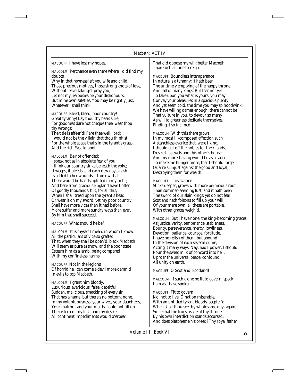*MACDUFF* I have lost my hopes.

*MALCOLM* Perchance even there where I did find my doubts.

Why in that rawness left you wife and child, Those precious motives, those strong knots of love, Without leave-taking? I pray you, Let not my jealousies be your dishonours, But mine own safeties. You may be rightly just, Whatever I shall think.

*MACDUFF* Bleed, bleed, poor country! Great tyranny! Lay thou thy basis sure, For goodness dare not cheque thee: wear thou thy wrongs;

The title is affeer'd! Fare thee well, lord: I would not be the villain that thou think'st For the whole space that's in the tyrant's grasp, And the rich East to boot.

*MALCOLM* Be not offended: I speak not as in absolute fear of you. I think our country sinks beneath the yoke; It weeps, it bleeds; and each new day a gash Is added to her wounds: I think withal There would be hands uplifted in my right; And here from gracious England have I offer Of goodly thousands: but, for all this, When I shall tread upon the tyrant's head, Or wear it on my sword, yet my poor country Shall have more vices than it had before, More suffer and more sundry ways than ever, By him that shall succeed.

*MACDUFF* What should he be?

*MALCOLM* It is myself I mean: in whom I know All the particulars of vice so grafted That, when they shall be open'd, black Macbeth Will seem as pure as snow, and the poor state Esteem him as a lamb, being compared With my confineless harms.

*MACDUFF* Not in the legions Of horrid hell can come a devil more damn'd In evils to top Macbeth.

*MALCOLM* I grant him bloody, Luxurious, avaricious, false, deceitful, Sudden, malicious, smacking of every sin That has a name: but there's no bottom, none, In my voluptuousness: your wives, your daughters, Your matrons and your maids, could not fill up The cistern of my lust, and my desire All continent impediments would o'erbear

That did oppose my will: better Macbeth Than such an one to reign.

*MACDUFF* Boundless intemperance In nature is a tyranny; it hath been The untimely emptying of the happy throne And fall of many kings. But fear not yet To take upon you what is yours: you may Convey your pleasures in a spacious plenty, And yet seem cold, the time you may so hoodwink. We have willing dames enough: there cannot be That vulture in you, to devour so many As will to greatness dedicate themselves, Finding it so inclined.

*MALCOLM* With this there grows In my most ill-composed affection such A stanchless avarice that, were I king, I should cut off the nobles for their lands, Desire his jewels and this other's house: And my more-having would be as a sauce To make me hunger more; that I should forge Quarrels unjust against the good and loyal, Destroying them for wealth.

#### *MACDUFF* This avarice

Sticks deeper, grows with more pernicious root Than summer-seeming lust, and it hath been The sword of our slain kings: yet do not fear; Scotland hath foisons to fill up your will. Of your mere own: all these are portable, With other graces weigh'd.

*MALCOLM* But I have none: the king-becoming graces, As justice, verity, temperance, stableness, Bounty, perseverance, mercy, lowliness, Devotion, patience, courage, fortitude, I have no relish of them, but abound In the division of each several crime, Acting it many ways. Nay, had I power, I should Pour the sweet milk of concord into hell, Uproar the universal peace, confound All unity on earth.

*MACDUFF* O Scotland, Scotland!

*MALCOLM* If such a one be fit to govern, speak: I am as I have spoken.

*MACDUFF* Fit to govern! No, not to live. O nation miserable, With an untitled tyrant bloody-scepter'd, When shalt thou see thy wholesome days again, Since that the truest issue of thy throne By his own interdiction stands accursed,

And does blaspheme his breed? Thy royal father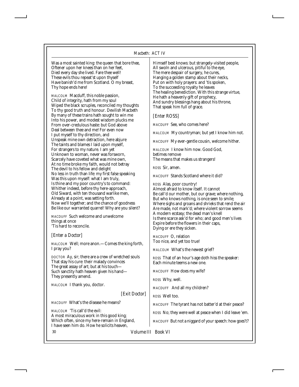Was a most sainted king: the queen that bore thee, Oftener upon her knees than on her feet, Died every day she lived. Fare thee well! These evils thou repeat'st upon thyself Have banish'd me from Scotland. O my breast, Thy hope ends here!

*MALCOLM* Macduff, this noble passion, Child of integrity, hath from my soul Wiped the black scruples, reconciled my thoughts To thy good truth and honour. Devilish Macbeth By many of these trains hath sought to win me Into his power, and modest wisdom plucks me From over-credulous haste: but God above Deal between thee and me! For even now I put myself to thy direction, and Unspeak mine own detraction, here abjure The taints and blames I laid upon myself, For strangers to my nature. I am yet Unknown to woman, never was forsworn, Scarcely have coveted what was mine own, At no time broke my faith, would not betray The devil to his fellow and delight No less in truth than life: my first false speaking Was this upon myself: what I am truly, Is thine and my poor country's to command: Whither indeed, before thy here-approach, Old Siward, with ten thousand warlike men, Already at a point, was setting forth. Now we'll together; and the chance of goodness Be like our warranted quarrel! Why are you silent?

*MACDUFF* Such welcome and unwelcome things at once 'Tis hard to reconcile.

## *[Enter a Doctor]*

*MALCOLM* Well; more anon.—Comes the king forth, I pray you?

*DOCTOR* Ay, sir; there are a crew of wretched souls That stay his cure: their malady convinces The great assay of art; but at his touch— Such sanctity hath heaven given his hand— They presently amend.

*MALCOLM* I thank you, doctor.

*[Exit Doctor]*

*MACDUFF* What's the disease he means?

*MALCOLM* 'Tis call'd the evil: A most miraculous work in this good king; Which often, since my here-remain in England, I have seen him do. How he solicits heaven,

Himself best knows: but strangely-visited people, All swoln and ulcerous, pitiful to the eye, The mere despair of surgery, he cures, Hanging a golden stamp about their necks, Put on with holy prayers: and 'tis spoken, To the succeeding royalty he leaves The healing benediction. With this strange virtue, He hath a heavenly gift of prophecy, And sundry blessings hang about his throne, That speak him full of grace.

#### *[Enter ROSS]*

*MACDUFF* See, who comes here?

*MALCOLM* My countryman; but yet I know him not.

*MACDUFF* My ever-gentle cousin, welcome hither.

*MALCOLM* I know him now. Good God, betimes remove The means that makes us strangers!

*ROSS* Sir, amen.

*MACDUFF* Stands Scotland where it did?

*ROSS* Alas, poor country! Almost afraid to know itself. It cannot Be call'd our mother, but our grave; where nothing, But who knows nothing, is once seen to smile; Where sighs and groans and shrieks that rend the air Are made, not mark'd; where violent sorrow seems A modern ecstasy; the dead man's knell Is there scarce ask'd for who; and good men's lives Expire before the flowers in their caps, Dying or ere they sicken.

*MACDUFF* O, relation Too nice, and yet too true!

*MALCOLM* What's the newest grief?

*ROSS* That of an hour's age doth hiss the speaker: Each minute teems a new one.

*MACDUFF* How does my wife?

*ROSS* Why, well.

*MACDUFF* And all my children?

*ROSS* Well too.

*MACDUFF* The tyrant has not batter'd at their peace?

*ROSS* No; they were well at peace when I did leave 'em.

*MACDUFF* But not a niggard of your speech: how goes't?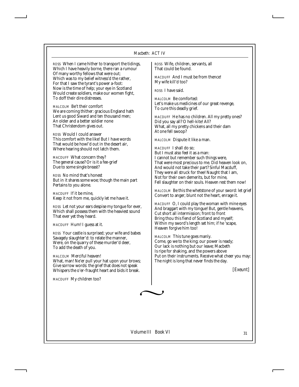*ROSS* When I came hither to transport the tidings, Which I have heavily borne, there ran a rumour Of many worthy fellows that were out; Which was to my belief witness'd the rather, For that I saw the tyrant's power a-foot: Now is the time of help; your eye in Scotland Would create soldiers, make our women fight, To doff their dire distresses.

*MALCOLM* Be't their comfort We are coming thither: gracious England hath Lent us good Siward and ten thousand men; An older and a better soldier none That Christendom gives out.

*ROSS* Would I could answer This comfort with the like! But I have words That would be howl'd out in the desert air, Where hearing should not latch them.

*MACDUFF* What concern they? The general cause? Or is it a fee-grief Due to some single breast?

*ROSS* No mind that's honest But in it shares some woe; though the main part Pertains to you alone.

*MACDUFF* If it be mine, Keep it not from me, quickly let me have it.

*ROSS* Let not your ears despise my tongue for ever, Which shall possess them with the heaviest sound That ever yet they heard.

*MACDUFF* Hum! I guess at it.

*ROSS* Your castle is surprised; your wife and babes Savagely slaughter'd: to relate the manner, Were, on the quarry of these murder'd deer, To add the death of you.

*MALCOLM* Merciful heaven! What, man! Ne'er pull your hat upon your brows; Give sorrow words: the grief that does not speak Whispers the o'er-fraught heart and bids it break.

*MACDUFF* My children too?

*ROSS* Wife, children, servants, all That could be found.

*MACDUFF* And I must be from thence! My wife kill'd too?

*ROSS* I have said.

*MALCOLM* Be comforted: Let's make us medicines of our great revenge, To cure this deadly grief.

*MACDUFF* He has no children. All my pretty ones? Did you say all? O hell-kite! All? What, all my pretty chickens and their dam At one fell swoop?

*MALCOLM* Dispute it like a man.

*MACDUFF* I shall do so; But I must also feel it as a man: I cannot but remember such things were, That were most precious to me. Did heaven look on, And would not take their part? Sinful Macduff, They were all struck for thee! Naught that I am, Not for their own demerits, but for mine, Fell slaughter on their souls. Heaven rest them now!

*MALCOLM* Be this the whetstone of your sword: let grief Convert to anger; blunt not the heart, enrage it.

*MACDUFF* O, I could play the woman with mine eyes And braggart with my tongue! But, gentle heavens, Cut short all intermission; front to front Bring thou this fiend of Scotland and myself; Within my sword's length set him; if he 'scape, Heaven forgive him too!

*MALCOLM* This tune goes manly. Come, go we to the king; our power is ready; Our lack is nothing but our leave; Macbeth Is ripe for shaking, and the powers above Put on their instruments. Receive what cheer you may: The night is long that never finds the day.

*[Exeunt]*

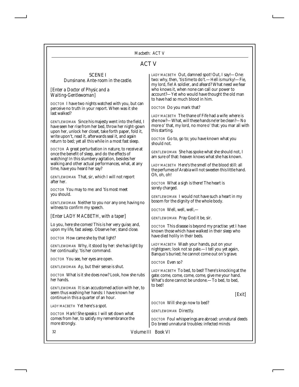## ACT V

## SCENE I *Dunsinane. Ante-room in the castle.*

## *[Enter a Doctor of Physic and a Waiting-Gentlewoman]*

*DOCTOR* I have two nights watched with you, but can perceive no truth in your report. When was it she last walked?

*GENTLEWOMAN* Since his majesty went into the field, I have seen her rise from her bed, throw her night-gown upon her, unlock her closet, take forth paper, fold it, write upon't, read it, afterwards seal it, and again return to bed; yet all this while in a most fast sleep.

*DOCTOR* A great perturbation in nature, to receive at once the benefit of sleep, and do the effects of watching! In this slumbery agitation, besides her walking and other actual performances, what, at any time, have you heard her say?

*GENTLEWOMAN* That, sir, which I will not report after her.

*DOCTOR* You may to me: and 'tis most meet you should.

*GENTLEWOMAN* Neither to you nor any one; having no witness to confirm my speech.

## *[Enter LADY MACBETH, with a taper]*

Lo you, here she comes! This is her very guise; and, upon my life, fast asleep. Observe her; stand close.

*DOCTOR* How came she by that light?

*GENTLEWOMAN* Why, it stood by her: she has light by her continually; 'tis her command.

*DOCTOR* You see, her eyes are open.

*GENTLEWOMAN* Ay, but their sense is shut.

*DOCTOR* What is it she does now? Look, how she rubs her hands.

*GENTLEWOMAN* It is an accustomed action with her, to seem thus washing her hands: I have known her continue in this a quarter of an hour.

*LADY MACBETH* Yet here's a spot.

*DOCTOR* Hark! She speaks: I will set down what comes from her, to satisfy my remembrance the more strongly.

*LADY MACBETH* Out, damned spot! Out, I say!—One: two: why, then, 'tis time to do't.—Hell is murky!—Fie, my lord, fie! A soldier, and afeard? What need we fear who knows it, when none can call our power to account?—Yet who would have thought the old man to have had so much blood in him.

*DOCTOR* Do you mark that?

*LADY MACBETH* The thane of Fife had a wife: where is she now?—What, will these hands ne'er be clean?—No more o' that, my lord, no more o' that: you mar all with this starting.

*DOCTOR* Go to, go to; you have known what you should not.

*GENTLEWOMAN* She has spoke what she should not, I am sure of that: heaven knows what she has known.

*LADY MACBETH* Here's the smell of the blood still: all the perfumes of Arabia will not sweeten this little hand. Oh, oh, oh!

*DOCTOR* What a sigh is there! The heart is sorely charged.

*GENTLEWOMAN* I would not have such a heart in my bosom for the dignity of the whole body.

*DOCTOR* Well, well, well,—

*GENTLEWOMAN* Pray God it be, sir.

*DOCTOR* This disease is beyond my practise: yet I have known those which have walked in their sleep who have died holily in their beds.

*LADY MACBETH* Wash your hands, put on your nightgown; look not so pale.—I tell you yet again, Banquo's buried; he cannot come out on's grave.

*DOCTOR* Even so?

*LADY MACBETH* To bed, to bed! There's knocking at the gate: come, come, come, come, give me your hand.  $\tilde{\text{W}}$ hat's done cannot be undone.—To bed, to bed, to bed!

*[Exit]*

*DOCTOR* Will she go now to bed?

*GENTLEWOMAN* Directly.

*DOCTOR* Foul whisperings are abroad: unnatural deeds Do breed unnatural troubles: infected minds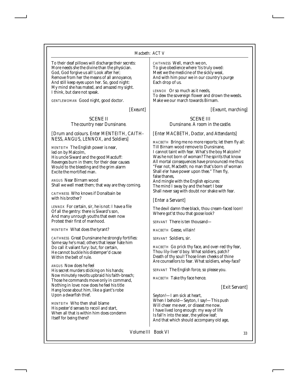#### *Macbeth: ACT V*

To their deaf pillows will discharge their secrets: More needs she the divine than the physician. God, God forgive us all! Look after her; Remove from her the means of all annoyance, And still keep eyes upon her. So, good night: My mind she has mated, and amazed my sight. I think, but dare not speak.

*GENTLEWOMAN* Good night, good doctor.

*[Exeunt]*

#### SCENE II *The country near Dunsinane.*

*[Drum and colours. Enter MENTEITH, CAITH-NESS, ANGUS, LENNOX, and Soldiers]*

*MENTEITH* The English power is near, led on by Malcolm, His uncle Siward and the good Macduff: Revenges burn in them; for their dear causes Would to the bleeding and the grim alarm Excite the mortified man.

*ANGUS* Near Birnam wood Shall we well meet them; that way are they coming.

*CAITHNESS* Who knows if Donalbain be with his brother?

*LENNOX* For certain, sir, he is not: I have a file Of all the gentry: there is Siward's son, And many unrough youths that even now Protest their first of manhood.

*MENTEITH* What does the tyrant?

*CAITHNESS* Great Dunsinane he strongly fortifies: Some say he's mad; others that lesser hate him Do call it valiant fury: but, for certain, He cannot buckle his distemper'd cause Within the belt of rule.

*ANGUS* Now does he feel His secret murders sticking on his hands; Now minutely revolts upbraid his faith-breach; Those he commands move only in command, Nothing in love: now does he feel his title Hang loose about him, like a giant's robe Upon a dwarfish thief.

*MENTEITH* Who then shall blame His pester'd senses to recoil and start, When all that is within him does condemn Itself for being there?

*CAITHNESS* Well, march we on, To give obedience where 'tis truly owed: Meet we the medicine of the sickly weal, And with him pour we in our country's purge Each drop of us.

*LENNOX* Or so much as it needs, To dew the sovereign flower and drown the weeds. Make we our march towards Birnam.

*[Exeunt, marching]*

SCENE III *Dunsinane. A room in the castle.*

### *[Enter MACBETH, Doctor, and Attendants]*

*MACBETH* Bring me no more reports; let them fly all: Till Birnam wood remove to Dunsinane, I cannot taint with fear. What's the boy Malcolm? Was he not born of woman? The spirits that know All mortal consequences have pronounced me thus: "Fear not, Macbeth; no man that's born of woman Shall e'er have power upon thee." Then fly, false thanes,

And mingle with the English epicures: The mind I sway by and the heart I bear Shall never sag with doubt nor shake with fear.

#### *[Enter a Servant]*

The devil damn thee black, thou cream-faced loon! Where got'st thou that goose look?

*SERVANT* There is ten thousand—

*MACBETH* Geese, villain!

*SERVANT* Soldiers, sir.

*MACBETH* Go prick thy face, and over-red thy fear, Thou lily-liver'd boy. What soldiers, patch? Death of thy soul! Those linen cheeks of thine Are counsellors to fear. What soldiers, whey-face?

*SERVANT* The English force, so please you.

*MACBETH* Take thy face hence.

## *[Exit Servant]*

Seyton!—I am sick at heart, When I behold—Seyton, I say!—This push Will cheer me ever, or disseat me now. I have lived long enough: my way of life Is fall'n into the sear, the yellow leaf; And that which should accompany old age,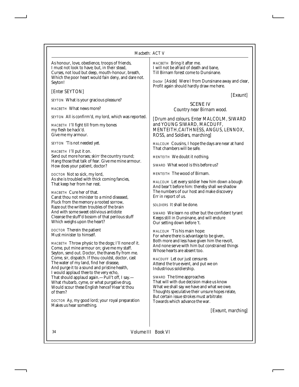As honour, love, obedience, troops of friends, I must not look to have; but, in their stead, Curses, not loud but deep, mouth-honour, breath, Which the poor heart would fain deny, and dare not. Seyton!

*[Enter SEYTON]*

*SEYTON* What is your gracious pleasure?

*MACBETH* What news more?

*SEYTON* All is confirm'd, my lord, which was reported.

*MACBETH* I'll fight till from my bones my flesh be hack'd. Give me my armour.

*SEYTON* 'Tis not needed yet.

*MACBETH* I'll put it on. Send out more horses; skirr the country round; Hang those that talk of fear. Give me mine armour. How does your patient, doctor?

*DOCTOR* Not so sick, my lord, As she is troubled with thick coming fancies, That keep her from her rest.

*MACBETH* Cure her of that. Canst thou not minister to a mind diseased, Pluck from the memory a rooted sorrow, Raze out the written troubles of the brain And with some sweet oblivious antidote Cleanse the stuff'd bosom of that perilous stuff Which weighs upon the heart?

*DOCTOR* Therein the patient Must minister to himself.

*MACBETH* Throw physic to the dogs; I'll none of it. Come, put mine armour on; give me my staff. Seyton, send out. Doctor, the thanes fly from me. Come, sir, dispatch. If thou couldst, doctor, cast The water of my land, find her disease, And purge it to a sound and pristine health, I would applaud thee to the very echo, That should applaud again.—Pull't off, I say.— What rhubarb, cyme, or what purgative drug, Would scour these English hence? Hear'st thou of them?

*DOCTOR* Ay, my good lord; your royal preparation Makes us hear something.

*MACBETH* Bring it after me. I will not be afraid of death and bane, Till Birnam forest come to Dunsinane.

Doctor *[Aside]* Were I from Dunsinane away and clear, Profit again should hardly draw me here.

*[Exeunt]*

#### SCENE IV *Country near Birnam wood.*

*[Drum and colours. Enter MALCOLM, SIWARD and YOUNG SIWARD, MACDUFF, MENTEITH,CAITHNESS, ANGUS, LENNOX, ROSS, and Soldiers, marching]*

*MALCOLM* Cousins, I hope the days are near at hand That chambers will be safe.

*MENTEITH* We doubt it nothing.

*SIWARD* What wood is this before us?

*MENTEITH* The wood of Birnam.

*MALCOLM* Let every soldier hew him down a bough And bear't before him: thereby shall we shadow The numbers of our host and make discovery Err in report of us.

*SOLDIERS* It shall be done.

*SIWARD* We learn no other but the confident tyrant Keeps still in Dunsinane, and will endure Our setting down before 't.

*MALCOLM* 'Tis his main hope: For where there is advantage to be given, Both more and less have given him the revolt, And none serve with him but constrained things Whose hearts are absent too.

*MACDUFF* Let our just censures Attend the true event, and put we on Industrious soldiership.

*SIWARD* The time approaches That will with due decision make us know What we shall say we have and what we owe. Thoughts speculative their unsure hopes relate, But certain issue strokes must arbitrate: Towards which advance the war.

*[Exeunt, marching]*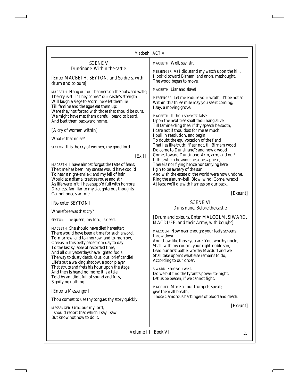| Macbeth: ACTV                                                                                                                                                                                                                                                                                                                                                                                                              |                                                                                                                                                                                                                                                                                                                                                                                                                                                                                                                                                                                                               |  |
|----------------------------------------------------------------------------------------------------------------------------------------------------------------------------------------------------------------------------------------------------------------------------------------------------------------------------------------------------------------------------------------------------------------------------|---------------------------------------------------------------------------------------------------------------------------------------------------------------------------------------------------------------------------------------------------------------------------------------------------------------------------------------------------------------------------------------------------------------------------------------------------------------------------------------------------------------------------------------------------------------------------------------------------------------|--|
| <b>SCENE V</b><br>Dunsinane. Within the castle.                                                                                                                                                                                                                                                                                                                                                                            | MACBETH Well, say, sir.<br>MESSENGER As I did stand my watch upon the hill,                                                                                                                                                                                                                                                                                                                                                                                                                                                                                                                                   |  |
| [Enter MACBETH, SEYTON, and Soldiers, with<br>drum and colours]                                                                                                                                                                                                                                                                                                                                                            | I look'd toward Birnam, and anon, methought,<br>The wood began to move.                                                                                                                                                                                                                                                                                                                                                                                                                                                                                                                                       |  |
| MACBETH Hang out our banners on the outward walls;<br>The cry is still "They come:" our castle's strength<br>Will laugh a siege to scorn: here let them lie<br>Till famine and the ague eat them up:<br>Were they not forced with those that should be ours,<br>We might have met them dareful, beard to beard,                                                                                                            | <b>MACBETH</b> Liar and slave!<br>MESSENGER Let me endure your wrath, if't be not so:<br>Within this three mile may you see it coming;<br>I say, a moving grove.<br>MACBETH If thou speak'st false,                                                                                                                                                                                                                                                                                                                                                                                                           |  |
| And beat them backward home.<br>[A cry of women within]                                                                                                                                                                                                                                                                                                                                                                    | Upon the next tree shalt thou hang alive,<br>Till famine cling thee: if thy speech be sooth,<br>I care not if thou dost for me as much.                                                                                                                                                                                                                                                                                                                                                                                                                                                                       |  |
| What is that noise?                                                                                                                                                                                                                                                                                                                                                                                                        | I pull in resolution, and begin<br>To doubt the equivocation of the fiend                                                                                                                                                                                                                                                                                                                                                                                                                                                                                                                                     |  |
| SEYTON It is the cry of women, my good lord.<br> Exit                                                                                                                                                                                                                                                                                                                                                                      | That lies like truth: "Fear not, till Birnam wood<br>Do come to Dunsinane": and now a wood<br>Comes toward Dunsinane. Arm, arm, and out!                                                                                                                                                                                                                                                                                                                                                                                                                                                                      |  |
| MACBETH I have almost forgot the taste of fears;<br>The time has been, my senses would have cool'd<br>To hear a night-shriek; and my fell of hair<br>Would at a dismal treatise rouse and stir<br>As life were in't: I have supp'd full with horrors;<br>Direness, familiar to my slaughterous thoughts<br>Cannot once start me.                                                                                           | If this which he avouches does appear,<br>There is nor flying hence nor tarrying here.<br>I gin to be aweary of the sun,<br>And wish the estate o' the world were now undone.<br>Ring the alarum-bell! Blow, wind! Come, wrack!<br>At least we'll die with harness on our back.<br>[Exeunt]                                                                                                                                                                                                                                                                                                                   |  |
| [Re-enter SEYTON]                                                                                                                                                                                                                                                                                                                                                                                                          | <b>SCENE VI</b><br>Dunsinane. Before the castle.                                                                                                                                                                                                                                                                                                                                                                                                                                                                                                                                                              |  |
| Wherefore was that cry?<br>SEYTON The queen, my lord, is dead.                                                                                                                                                                                                                                                                                                                                                             | [Drum and colours. Enter MALCOLM, SIWARD,<br>MACDUFF, and their Army, with boughs]                                                                                                                                                                                                                                                                                                                                                                                                                                                                                                                            |  |
| MACBETH She should have died hereafter;<br>There would have been a time for such a word.<br>To-morrow, and to-morrow, and to-morrow,<br>Creeps in this petty pace from day to day<br>To the last syllable of recorded time,<br>And all our yesterdays have lighted fools<br>The way to dusty death. Out, out, brief candle!<br>Life's but a walking shadow, a poor player<br>That struts and frets his hour upon the stage | MALCOLM Now near enough: your leafy screens<br>throw down.<br>And show like those you are. You, worthy uncle,<br>Shall, with my cousin, your right-noble son,<br>Lead our first battle: worthy Macduff and we<br>Shall take upon's what else remains to do,<br>According to our order.<br>$\frac{1}{2}$ $\frac{1}{2}$ $\frac{1}{2}$ $\frac{1}{2}$ $\frac{1}{2}$ $\frac{1}{2}$ $\frac{1}{2}$ $\frac{1}{2}$ $\frac{1}{2}$ $\frac{1}{2}$ $\frac{1}{2}$ $\frac{1}{2}$ $\frac{1}{2}$ $\frac{1}{2}$ $\frac{1}{2}$ $\frac{1}{2}$ $\frac{1}{2}$ $\frac{1}{2}$ $\frac{1}{2}$ $\frac{1}{2}$ $\frac{1}{2}$ $\frac{1}{2}$ |  |

*SIWARD* Fare you well. Do we but find the tyrant's power to-night, Let us be beaten, if we cannot fight.

*MACDUFF* Make all our trumpets speak; give them all breath, Those clamorous harbingers of blood and death.

*[Exeunt]*

*Volume III Book VI* 35

And then is heard no more: it is a tale Told by an idiot, full of sound and fury,

Thou comest to use thy tongue; thy story quickly.

Signifying nothing.

*[Enter a Messenger]*

*MESSENGER* Gracious my lord, I should report that which I say I saw,

But know not how to do it.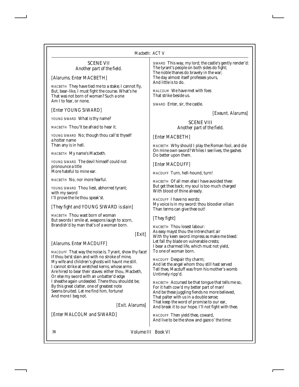## SCENE VII *Another part of the field.*

*[Alarums. Enter MACBETH]*

*MACBETH* They have tied me to a stake; I cannot fly, But, bear-like, I must fight the course. What's he That was not born of woman? Such a one Am I to fear, or none.

## *[Enter YOUNG SIWARD]*

*YOUNG SIWARD* What is thy name?

*MACBETH* Thou'lt be afraid to hear it.

*YOUNG SIWARD* No; though thou call'st thyself a hotter name Than any is in hell.

*MACBETH* My name's Macbeth.

*YOUNG SIWARD* The devil himself could not pronounce a title More hateful to mine ear.

*MACBETH* No, nor more fearful.

*YOUNG SIWARD* Thou liest, abhorred tyrant; with my sword I'll prove the lie thou speak'st.

## *[They fight and YOUNG SIWARD is slain]*

*MACBETH* Thou wast born of woman But swords I smile at, weapons laugh to scorn, Brandish'd by man that's of a woman born.

## *[Exit]*

## *[Alarums. Enter MACDUFF]*

*MACDUFF* That way the noise is. Tyrant, show thy face! If thou be'st slain and with no stroke of mine, My wife and children's ghosts will haunt me still. I cannot strike at wretched kerns, whose arms Are hired to bear their staves: either thou, Macbeth, Or else my sword with an unbatter'd edge I sheathe again undeeded. There thou shouldst be; By this great clatter, one of greatest note Seems bruited. Let me find him, fortune! And more I beg not.

*[Exit. Alarums]*

*[Enter MALCOLM and SIWARD]*

*SIWARD* This way, my lord; the castle's gently render'd: The tyrant's people on both sides do fight; The noble thanes do bravely in the war; The day almost itself professes yours, And little is to do.

*MALCOLM* We have met with foes That strike beside us.

*SIWARD* Enter, sir, the castle.

*[Exeunt. Alarums]*

#### SCENE VIII *Another part of the field.*

## *[Enter MACBETH]*

*MACBETH* Why should I play the Roman fool, and die On mine own sword? Whiles I see lives, the gashes Do better upon them.

*[Enter MACDUFF]*

*MACDUFF* Turn, hell-hound, turn!

*MACBETH* Of all men else I have avoided thee: But get thee back; my soul is too much charged With blood of thine already.

*MACDUFF* I have no words: My voice is in my sword: thou bloodier villain Than terms can give thee out!

## *[They fight]*

*MACBETH* Thou losest labour: As easy mayst thou the intrenchant air With thy keen sword impress as make me bleed: Let fall thy blade on vulnerable crests; I bear a charmed life, which must not yield, To one of woman born.

*MACDUFF* Despair thy charm; And let the angel whom thou still hast served Tell thee, Macduff was from his mother's womb Untimely ripp'd.

*MACBETH* Accursed be that tongue that tells me so, For it hath cow'd my better part of man! And be these juggling fiends no more believed, That palter with us in a double sense; That keep the word of promise to our ear, And break it to our hope. I'll not fight with thee.

*MACDUFF* Then yield thee, coward, And live to be the show and gaze o' the time: